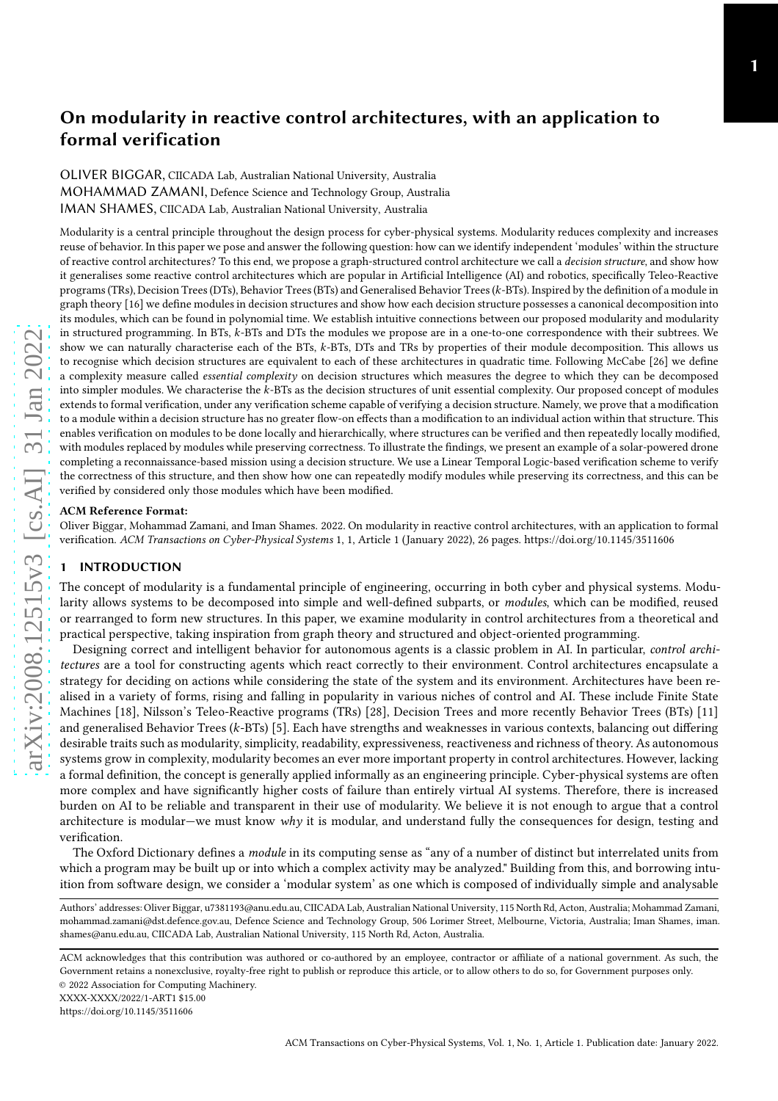# On modularity in reactive control architectures, with an application to formal verification

OLIVER BIGGAR, CIICADA Lab, Australian National University, Australia MOHAMMAD ZAMANI, Defence Science and Technology Group, Australia IMAN SHAMES, CIICADA Lab, Australian National University, Australia

Modularity is a central principle throughout the design process for cyber-physical systems. Modularity reduces complexity and increases reuse of behavior. In this paper we pose and answer the following question: how can we identify independent 'modules' within the structure of reactive control architectures? To this end, we propose a graph-structured control architecture we call a decision structure, and show how it generalises some reactive control architectures which are popular in Artificial Intelligence (AI) and robotics, specifically Teleo-Reactive programs (TRs), Decision Trees (DTs), Behavior Trees (BTs) and Generalised Behavior Trees (*k-*BTs). Inspired by the definition of a module in graph theory [\[16\]](#page-24-0) we define modules in decision structures and show how each decision structure possesses a canonical decomposition into its modules, which can be found in polynomial time. We establish intuitive connections between our proposed modularity and modularity in structured programming. In BTs, k-BTs and DTs the modules we propose are in a one-to-one correspondence with their subtrees. We show we can naturally characterise each of the BTs, k-BTs, DTs and TRs by properties of their module decomposition. This allows us to recognise which decision structures are equivalent to each of these architectures in quadratic time. Following McCabe [\[26\]](#page-25-0) we define a complexity measure called essential complexity on decision structures which measures the degree to which they can be decomposed into simpler modules. We characterise the k-BTs as the decision structures of unit essential complexity. Our proposed concept of modules extends to formal verification, under any verification scheme capable of verifying a decision structure. Namely, we prove that a modification to a module within a decision structure has no greater flow-on effects than a modification to an individual action within that structure. This enables verification on modules to be done locally and hierarchically, where structures can be verified and then repeatedly locally modified, with modules replaced by modules while preserving correctness. To illustrate the findings, we present an example of a solar-powered drone completing a reconnaissance-based mission using a decision structure. We use a Linear Temporal Logic-based verification scheme to verify the correctness of this structure, and then show how one can repeatedly modify modules while preserving its correctness, and this can be verified by considered only those modules which have been modified.

## ACM Reference Format:

Oliver Biggar, Mohammad Zamani, and Iman Shames. 2022. On modularity in reactive control architectures, with an application to formal verification. ACM Transactions on Cyber-Physical Systems 1, 1, Article 1 (January 2022), [26](#page-25-1) pages.<https://doi.org/10.1145/3511606>

# **INTRODUCTION**

The concept of modularity is a fundamental principle of engineering, occurring in both cyber and physical systems. Modularity allows systems to be decomposed into simple and well-defined subparts, or modules, which can be modified, reused or rearranged to form new structures. In this paper, we examine modularity in control architectures from a theoretical and practical perspective, taking inspiration from graph theory and structured and object-oriented programming.

Designing correct and intelligent behavior for autonomous agents is a classic problem in AI. In particular, control architectures are a tool for constructing agents which react correctly to their environment. Control architectures encapsulate a strategy for deciding on actions while considering the state of the system and its environment. Architectures have been realised in a variety of forms, rising and falling in popularity in various niches of control and AI. These include Finite State Machines [\[18\]](#page-24-1), Nilsson's Teleo-Reactive programs (TRs) [\[28](#page-25-2)], Decision Trees and more recently Behavior Trees (BTs) [\[11\]](#page-24-2) and generalised Behavior Trees (*k-*BTs) [\[5\]](#page-24-3). Each have strengths and weaknesses in various contexts, balancing out differing desirable traits such as modularity, simplicity, readability, expressiveness, reactiveness and richness of theory. As autonomous systems grow in complexity, modularity becomes an ever more important property in control architectures. However, lacking a formal definition, the concept is generally applied informally as an engineering principle. Cyber-physical systems are often more complex and have significantly higher costs of failure than entirely virtual AI systems. Therefore, there is increased burden on AI to be reliable and transparent in their use of modularity. We believe it is not enough to argue that a control architecture is modular—we must know why it is modular, and understand fully the consequences for design, testing and verification.

The Oxford Dictionary defines a module in its computing sense as "any of a number of distinct but interrelated units from which a program may be built up or into which a complex activity may be analyzed." Building from this, and borrowing intuition from software design, we consider a 'modular system' as one which is composed of individually simple and analysable

XXXX-XXXX/2022/1-ART1 \$15.00

<https://doi.org/10.1145/3511606>

Authors' addresses: Oliver Biggar, u7381193@anu.edu.au, CIICADA Lab, Australian National University, 115 North Rd, Acton, Australia; Mohammad Zamani, mohammad.zamani@dst.defence.gov.au, Defence Science and Technology Group, 506 Lorimer Street, Melbourne, Victoria, Australia; Iman Shames, iman. shames@anu.edu.au, CIICADA Lab, Australian National University, 115 North Rd, Acton, Australia.

ACM acknowledges that this contribution was authored or co-authored by an employee, contractor or affiliate of a national government. As such, the Government retains a nonexclusive, royalty-free right to publish or reproduce this article, or to allow others to do so, for Government purposes only. © 2022 Association for Computing Machinery.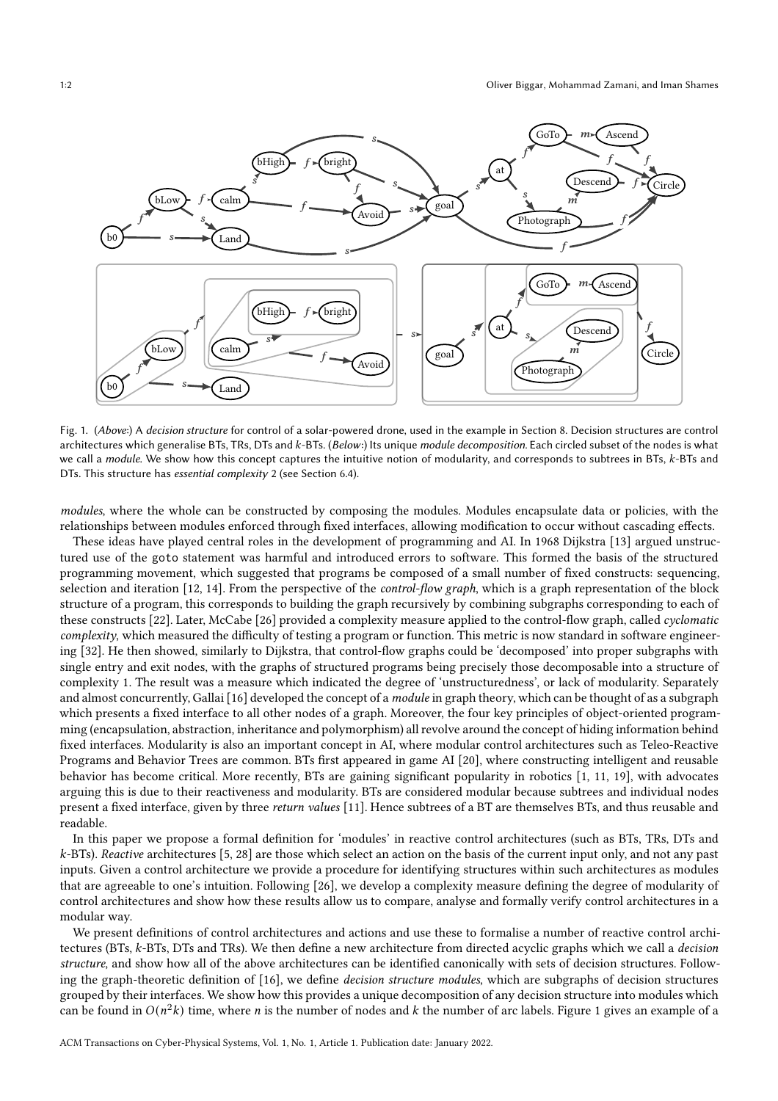<span id="page-1-0"></span>

Fig. 1. (Above:) A decision structure for control of a solar-powered drone, used in the example in Section [8.](#page-15-0) Decision structures are control architectures which generalise BTs, TRs, DTs and k-BTs. (Below:) Its unique module decomposition. Each circled subset of the nodes is what we call a module. We show how this concept captures the intuitive notion of modularity, and corresponds to subtrees in BTs, k-BTs and DTs. This structure has essential complexity 2 (see Section [6.4\)](#page-13-0).

modules, where the whole can be constructed by composing the modules. Modules encapsulate data or policies, with the relationships between modules enforced through fixed interfaces, allowing modification to occur without cascading effects.

These ideas have played central roles in the development of programming and AI. In 1968 Dijkstra [\[13](#page-24-4)] argued unstructured use of the goto statement was harmful and introduced errors to software. This formed the basis of the structured programming movement, which suggested that programs be composed of a small number of fixed constructs: sequencing, selection and iteration [\[12,](#page-24-5) [14\]](#page-24-6). From the perspective of the *control-flow graph*, which is a graph representation of the block structure of a program, this corresponds to building the graph recursively by combining subgraphs corresponding to each of these constructs [\[22\]](#page-24-7). Later, McCabe [\[26\]](#page-25-0) provided a complexity measure applied to the control-flow graph, called cyclomatic complexity, which measured the difficulty of testing a program or function. This metric is now standard in software engineering [\[32\]](#page-25-3). He then showed, similarly to Dijkstra, that control-flow graphs could be 'decomposed' into proper subgraphs with single entry and exit nodes, with the graphs of structured programs being precisely those decomposable into a structure of complexity 1. The result was a measure which indicated the degree of 'unstructuredness', or lack of modularity. Separately and almost concurrently, Gallai [\[16\]](#page-24-0) developed the concept of a *module* in graph theory, which can be thought of as a subgraph which presents a fixed interface to all other nodes of a graph. Moreover, the four key principles of object-oriented programming (encapsulation, abstraction, inheritance and polymorphism) all revolve around the concept of hiding information behind fixed interfaces. Modularity is also an important concept in AI, where modular control architectures such as Teleo-Reactive Programs and Behavior Trees are common. BTs first appeared in game AI [\[20](#page-24-8)], where constructing intelligent and reusable behavior has become critical. More recently, BTs are gaining significant popularity in robotics [\[1,](#page-24-9) [11,](#page-24-2) [19\]](#page-24-10), with advocates arguing this is due to their reactiveness and modularity. BTs are considered modular because subtrees and individual nodes present a fixed interface, given by three return values [\[11](#page-24-2)]. Hence subtrees of a BT are themselves BTs, and thus reusable and readable.

In this paper we propose a formal definition for 'modules' in reactive control architectures (such as BTs, TRs, DTs and k-BTs). Reactive architectures [\[5,](#page-24-3) [28\]](#page-25-2) are those which select an action on the basis of the current input only, and not any past inputs. Given a control architecture we provide a procedure for identifying structures within such architectures as modules that are agreeable to one's intuition. Following [\[26](#page-25-0)], we develop a complexity measure defining the degree of modularity of control architectures and show how these results allow us to compare, analyse and formally verify control architectures in a modular way.

We present definitions of control architectures and actions and use these to formalise a number of reactive control architectures (BTs, k-BTs, DTs and TRs). We then define a new architecture from directed acyclic graphs which we call a *decision* structure, and show how all of the above architectures can be identified canonically with sets of decision structures. Following the graph-theoretic definition of [\[16\]](#page-24-0), we define decision structure modules, which are subgraphs of decision structures grouped by their interfaces. We show how this provides a unique decomposition of any decision structure into modules which can be found in  $O(n^2k)$  time, where *n* is the number of nodes and *k* the number of arc labels. Figure [1](#page-1-0) gives an example of a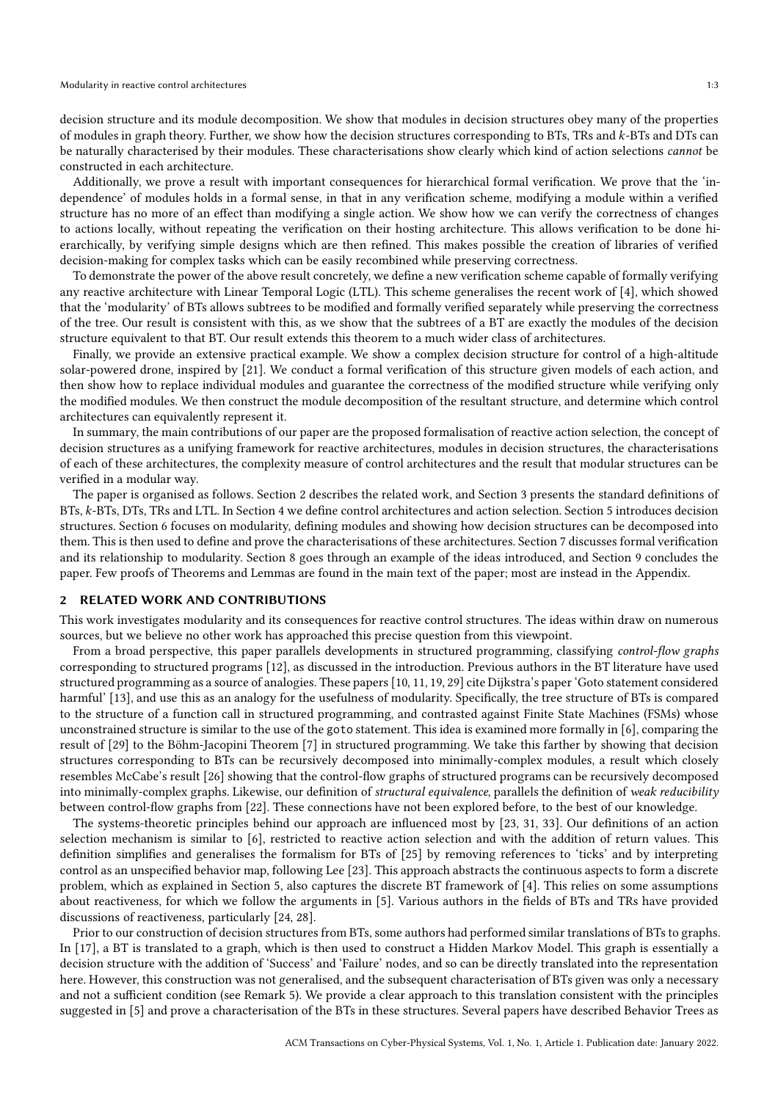decision structure and its module decomposition. We show that modules in decision structures obey many of the properties of modules in graph theory. Further, we show how the decision structures corresponding to BTs, TRs and  $k$ -BTs and DTs can be naturally characterised by their modules. These characterisations show clearly which kind of action selections cannot be constructed in each architecture.

Additionally, we prove a result with important consequences for hierarchical formal verification. We prove that the 'independence' of modules holds in a formal sense, in that in any verification scheme, modifying a module within a verified structure has no more of an effect than modifying a single action. We show how we can verify the correctness of changes to actions locally, without repeating the verification on their hosting architecture. This allows verification to be done hierarchically, by verifying simple designs which are then refined. This makes possible the creation of libraries of verified decision-making for complex tasks which can be easily recombined while preserving correctness.

To demonstrate the power of the above result concretely, we define a new verification scheme capable of formally verifying any reactive architecture with Linear Temporal Logic (LTL). This scheme generalises the recent work of [\[4](#page-24-11)], which showed that the 'modularity' of BTs allows subtrees to be modified and formally verified separately while preserving the correctness of the tree. Our result is consistent with this, as we show that the subtrees of a BT are exactly the modules of the decision structure equivalent to that BT. Our result extends this theorem to a much wider class of architectures.

Finally, we provide an extensive practical example. We show a complex decision structure for control of a high-altitude solar-powered drone, inspired by [\[21\]](#page-24-12). We conduct a formal verification of this structure given models of each action, and then show how to replace individual modules and guarantee the correctness of the modified structure while verifying only the modified modules. We then construct the module decomposition of the resultant structure, and determine which control architectures can equivalently represent it.

In summary, the main contributions of our paper are the proposed formalisation of reactive action selection, the concept of decision structures as a unifying framework for reactive architectures, modules in decision structures, the characterisations of each of these architectures, the complexity measure of control architectures and the result that modular structures can be verified in a modular way.

The paper is organised as follows. Section [2](#page-2-0) describes the related work, and Section [3](#page-3-0) presents the standard definitions of BTs, k-BTs, DTs, TRs and LTL. In Section [4](#page-4-0) we define control architectures and action selection. Section [5](#page-7-0) introduces decision structures. Section [6](#page-8-0) focuses on modularity, defining modules and showing how decision structures can be decomposed into them. This is then used to define and prove the characterisations of these architectures. Section [7](#page-13-1) discusses formal verification and its relationship to modularity. Section [8](#page-15-0) goes through an example of the ideas introduced, and Section [9](#page-19-0) concludes the paper. Few proofs of Theorems and Lemmas are found in the main text of the paper; most are instead in the Appendix.

#### <span id="page-2-0"></span>2 RELATED WORK AND CONTRIBUTIONS

This work investigates modularity and its consequences for reactive control structures. The ideas within draw on numerous sources, but we believe no other work has approached this precise question from this viewpoint.

From a broad perspective, this paper parallels developments in structured programming, classifying *control-flow graphs* corresponding to structured programs [\[12](#page-24-5)], as discussed in the introduction. Previous authors in the BT literature have used structured programming as a source of analogies. These papers[\[10,](#page-24-13) [11,](#page-24-2) [19](#page-24-10), [29](#page-25-4)] cite Dijkstra's paper 'Goto statement considered harmful' [\[13](#page-24-4)], and use this as an analogy for the usefulness of modularity. Specifically, the tree structure of BTs is compared to the structure of a function call in structured programming, and contrasted against Finite State Machines (FSMs) whose unconstrained structure is similar to the use of the goto statement. This idea is examined more formally in [\[6](#page-24-14)], comparing the result of [\[29\]](#page-25-4) to the Böhm-Jacopini Theorem [\[7](#page-24-15)] in structured programming. We take this farther by showing that decision structures corresponding to BTs can be recursively decomposed into minimally-complex modules, a result which closely resembles McCabe's result [\[26](#page-25-0)] showing that the control-flow graphs of structured programs can be recursively decomposed into minimally-complex graphs. Likewise, our definition of *structural equivalence*, parallels the definition of weak reducibility between control-flow graphs from [\[22\]](#page-24-7). These connections have not been explored before, to the best of our knowledge.

The systems-theoretic principles behind our approach are influenced most by [\[23,](#page-24-16) [31,](#page-25-5) [33](#page-25-6)]. Our definitions of an action selection mechanism is similar to [\[6](#page-24-14)], restricted to reactive action selection and with the addition of return values. This definition simplifies and generalises the formalism for BTs of [\[25\]](#page-24-17) by removing references to 'ticks' and by interpreting control as an unspecified behavior map, following Lee [\[23\]](#page-24-16). This approach abstracts the continuous aspects to form a discrete problem, which as explained in Section [5,](#page-7-0) also captures the discrete BT framework of [\[4](#page-24-11)]. This relies on some assumptions about reactiveness, for which we follow the arguments in [\[5\]](#page-24-3). Various authors in the fields of BTs and TRs have provided discussions of reactiveness, particularly [\[24](#page-24-18), [28](#page-25-2)].

Prior to our construction of decision structures from BTs, some authors had performed similar translations of BTs to graphs. In [\[17](#page-24-19)], a BT is translated to a graph, which is then used to construct a Hidden Markov Model. This graph is essentially a decision structure with the addition of 'Success' and 'Failure' nodes, and so can be directly translated into the representation here. However, this construction was not generalised, and the subsequent characterisation of BTs given was only a necessary and not a sufficient condition (see Remark [5\)](#page-12-0). We provide a clear approach to this translation consistent with the principles suggested in [\[5](#page-24-3)] and prove a characterisation of the BTs in these structures. Several papers have described Behavior Trees as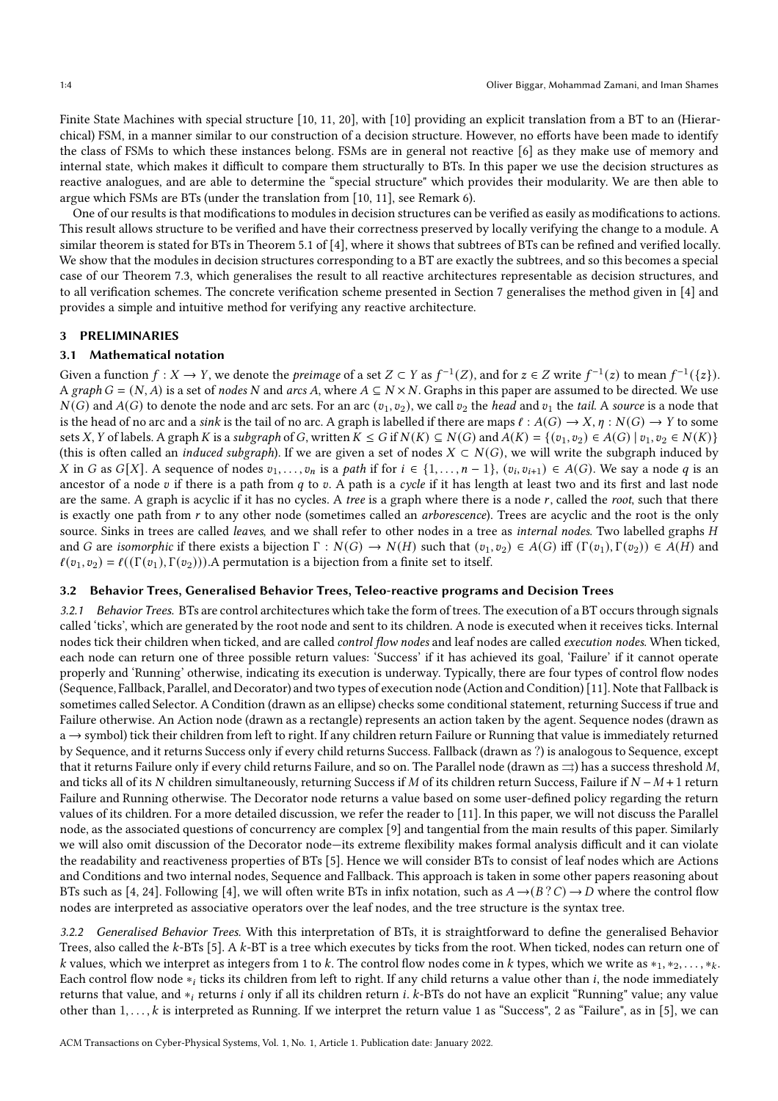Finite State Machines with special structure [\[10](#page-24-13), [11](#page-24-2), [20](#page-24-8)], with [\[10\]](#page-24-13) providing an explicit translation from a BT to an (Hierarchical) FSM, in a manner similar to our construction of a decision structure. However, no efforts have been made to identify the class of FSMs to which these instances belong. FSMs are in general not reactive [\[6](#page-24-14)] as they make use of memory and internal state, which makes it difficult to compare them structurally to BTs. In this paper we use the decision structures as reactive analogues, and are able to determine the "special structure" which provides their modularity. We are then able to argue which FSMs are BTs (under the translation from [\[10,](#page-24-13) [11\]](#page-24-2), see Remark [6\)](#page-12-1).

One of our results is that modifications to modules in decision structures can be verified as easily as modifications to actions. This result allows structure to be verified and have their correctness preserved by locally verifying the change to a module. A similar theorem is stated for BTs in Theorem 5.1 of [\[4](#page-24-11)], where it shows that subtrees of BTs can be refined and verified locally. We show that the modules in decision structures corresponding to a BT are exactly the subtrees, and so this becomes a special case of our Theorem [7.3,](#page-14-0) which generalises the result to all reactive architectures representable as decision structures, and to all verification schemes. The concrete verification scheme presented in Section [7](#page-13-1) generalises the method given in [\[4](#page-24-11)] and provides a simple and intuitive method for verifying any reactive architecture.

## <span id="page-3-0"></span>3 PRELIMINARIES

## 3.1 Mathematical notation

Given a function  $f: X \to Y$ , we denote the *preimage* of a set  $Z \subset Y$  as  $f^{-1}(Z)$ , and for  $z \in Z$  write  $f^{-1}(z)$  to mean  $f^{-1}(\{z\})$ . A graph  $G = (N, A)$  is a set of nodes N and arcs A, where  $A \subseteq N \times N$ . Graphs in this paper are assumed to be directed. We use  $N(G)$  and  $A(G)$  to denote the node and arc sets. For an arc  $(v_1, v_2)$ , we call  $v_2$  the head and  $v_1$  the tail. A source is a node that is the head of no arc and a sink is the tail of no arc. A graph is labelled if there are maps  $\ell : A(G) \to X$ ,  $\eta : N(G) \to Y$  to some sets X, Y of labels. A graph K is a subgraph of G, written  $K \leq G$  if  $N(K) \subseteq N(G)$  and  $A(K) = \{(v_1, v_2) \in A(G) | v_1, v_2 \in N(K)\}$ (this is often called an *induced subgraph*). If we are given a set of nodes  $X \subset N(G)$ , we will write the subgraph induced by X in G as  $G[X]$ . A sequence of nodes  $v_1, \ldots, v_n$  is a path if for  $i \in \{1, \ldots, n-1\}$ ,  $(v_i, v_{i+1}) \in A(G)$ . We say a node q is an ancestor of a node  $v$  if there is a path from  $q$  to  $v$ . A path is a cycle if it has length at least two and its first and last node are the same. A graph is acyclic if it has no cycles. A tree is a graph where there is a node  $r$ , called the root, such that there is exactly one path from  $r$  to any other node (sometimes called an *arborescence*). Trees are acyclic and the root is the only source. Sinks in trees are called *leaves*, and we shall refer to other nodes in a tree as *internal nodes*. Two labelled graphs H and G are isomorphic if there exists a bijection  $\Gamma : N(G) \to N(H)$  such that  $(v_1, v_2) \in A(G)$  iff  $(\Gamma(v_1), \Gamma(v_2)) \in A(H)$  and  $\ell(v_1, v_2) = \ell((\Gamma(v_1), \Gamma(v_2)))$ . A permutation is a bijection from a finite set to itself.

## 3.2 Behavior Trees, Generalised Behavior Trees, Teleo-reactive programs and Decision Trees

3.2.1 Behavior Trees. BTs are control architectures which take the form of trees. The execution of a BT occurs through signals called 'ticks', which are generated by the root node and sent to its children. A node is executed when it receives ticks. Internal nodes tick their children when ticked, and are called *control flow nodes* and leaf nodes are called *execution nodes*. When ticked, each node can return one of three possible return values: 'Success' if it has achieved its goal, 'Failure' if it cannot operate properly and 'Running' otherwise, indicating its execution is underway. Typically, there are four types of control flow nodes (Sequence, Fallback, Parallel, and Decorator) and two types of execution node (Action and Condition) [\[11](#page-24-2)]. Note that Fallback is sometimes called Selector. A Condition (drawn as an ellipse) checks some conditional statement, returning Success if true and Failure otherwise. An Action node (drawn as a rectangle) represents an action taken by the agent. Sequence nodes (drawn as a → symbol) tick their children from left to right. If any children return Failure or Running that value is immediately returned by Sequence, and it returns Success only if every child returns Success. Fallback (drawn as ?) is analogous to Sequence, except that it returns Failure only if every child returns Failure, and so on. The Parallel node (drawn as  $\Rightarrow$ ) has a success threshold M. and ticks all of its N children simultaneously, returning Success if M of its children return Success, Failure if  $N - M + 1$  return Failure and Running otherwise. The Decorator node returns a value based on some user-defined policy regarding the return values of its children. For a more detailed discussion, we refer the reader to [\[11](#page-24-2)]. In this paper, we will not discuss the Parallel node, as the associated questions of concurrency are complex [\[9\]](#page-24-20) and tangential from the main results of this paper. Similarly we will also omit discussion of the Decorator node—its extreme flexibility makes formal analysis difficult and it can violate the readability and reactiveness properties of BTs [\[5\]](#page-24-3). Hence we will consider BTs to consist of leaf nodes which are Actions and Conditions and two internal nodes, Sequence and Fallback. This approach is taken in some other papers reasoning about BTs such as [\[4](#page-24-11), [24](#page-24-18)]. Following [\[4\]](#page-24-11), we will often write BTs in infix notation, such as  $A \rightarrow (B ? C) \rightarrow D$  where the control flow nodes are interpreted as associative operators over the leaf nodes, and the tree structure is the syntax tree.

3.2.2 Generalised Behavior Trees. With this interpretation of BTs, it is straightforward to define the generalised Behavior Trees, also called the  $k$ -BTs [\[5](#page-24-3)]. A  $k$ -BT is a tree which executes by ticks from the root. When ticked, nodes can return one of k values, which we interpret as integers from 1 to k. The control flow nodes come in k types, which we write as  $*_1$ ,  $*_2$ , ..., $*_k$ . Each control flow node  $*_i$  ticks its children from left to right. If any child returns a value other than  $i$ , the node immediately returns that value, and  $*_i$  returns *i* only if all its children return *i*.  $k$ -BTs do not have an explicit "Running" value; any value other than  $1, \ldots, k$  is interpreted as Running. If we interpret the return value 1 as "Success", 2 as "Failure", as in [\[5](#page-24-3)], we can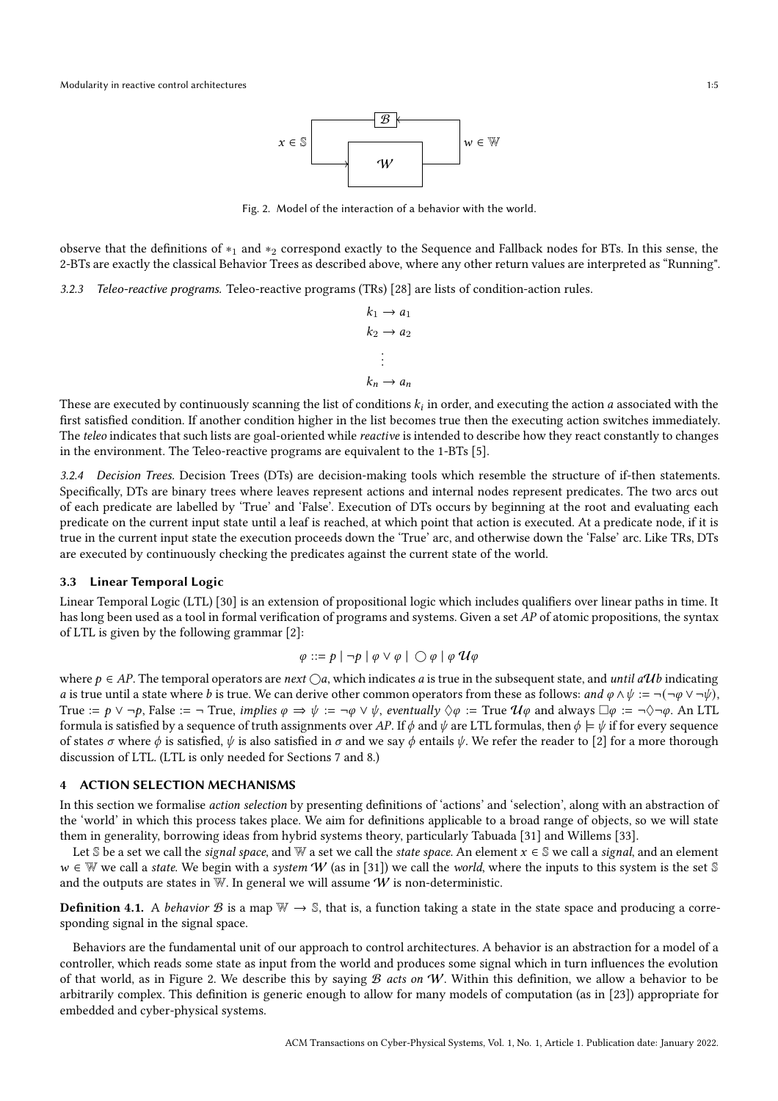

Fig. 2. Model of the interaction of a behavior with the world.

<span id="page-4-1"></span>observe that the definitions of  $*_1$  and  $*_2$  correspond exactly to the Sequence and Fallback nodes for BTs. In this sense, the 2-BTs are exactly the classical Behavior Trees as described above, where any other return values are interpreted as "Running".

#### 3.2.3 Teleo-reactive programs. Teleo-reactive programs (TRs) [\[28](#page-25-2)] are lists of condition-action rules.

```
k_1 \rightarrow a_1k_2 \rightarrow a_2.
.
.
k_n \to a_n
```
These are executed by continuously scanning the list of conditions  $k_i$  in order, and executing the action  $a$  associated with the first satisfied condition. If another condition higher in the list becomes true then the executing action switches immediately. The teleo indicates that such lists are goal-oriented while reactive is intended to describe how they react constantly to changes in the environment. The Teleo-reactive programs are equivalent to the 1-BTs [\[5\]](#page-24-3).

3.2.4 Decision Trees. Decision Trees (DTs) are decision-making tools which resemble the structure of if-then statements. Specifically, DTs are binary trees where leaves represent actions and internal nodes represent predicates. The two arcs out of each predicate are labelled by 'True' and 'False'. Execution of DTs occurs by beginning at the root and evaluating each predicate on the current input state until a leaf is reached, at which point that action is executed. At a predicate node, if it is true in the current input state the execution proceeds down the 'True' arc, and otherwise down the 'False' arc. Like TRs, DTs are executed by continuously checking the predicates against the current state of the world.

#### 3.3 Linear Temporal Logic

Linear Temporal Logic (LTL) [\[30\]](#page-25-7) is an extension of propositional logic which includes qualifiers over linear paths in time. It has long been used as a tool in formal verification of programs and systems. Given a set  $AP$  of atomic propositions, the syntax of LTL is given by the following grammar [\[2\]](#page-24-21):

$$
\varphi ::= p | \neg p | \varphi \vee \varphi | \bigcirc \varphi | \varphi \mathcal{U} \varphi
$$

where  $p \in AP$ . The temporal operators are next  $\bigcirc a$ , which indicates a is true in the subsequent state, and until a Ub indicating a is true until a state where b is true. We can derive other common operators from these as follows: and  $\varphi \wedge \psi := \neg(\neg \varphi \vee \neg \psi)$ , True :=  $p \lor \neg p$ , False :=  $\neg$  True, *implies*  $\varphi \Rightarrow \psi := \neg \varphi \lor \psi$ , eventually  $\Diamond \varphi := \text{True } \mathcal{U} \varphi$  and always  $\Box \varphi := \neg \Diamond \neg \varphi$ . An LTL formula is satisfied by a sequence of truth assignments over AP. If  $\phi$  and  $\psi$  are LTL formulas, then  $\phi \models \psi$  if for every sequence of states  $\sigma$  where  $\phi$  is satisfied,  $\psi$  is also satisfied in  $\sigma$  and we say  $\phi$  entails  $\psi$ . We refer the reader to [\[2\]](#page-24-21) for a more thorough discussion of LTL. (LTL is only needed for Sections [7](#page-13-1) and [8.](#page-15-0))

## <span id="page-4-0"></span>4 ACTION SELECTION MECHANISMS

In this section we formalise action selection by presenting definitions of 'actions' and 'selection', along with an abstraction of the 'world' in which this process takes place. We aim for definitions applicable to a broad range of objects, so we will state them in generality, borrowing ideas from hybrid systems theory, particularly Tabuada [\[31\]](#page-25-5) and Willems [\[33\]](#page-25-6).

Let S be a set we call the *signal space*, and W a set we call the *state space*. An element  $x \in S$  we call a *signal*, and an element  $w \in \mathbb{W}$  we call a state. We begin with a system W (as in [\[31\]](#page-25-5)) we call the world, where the inputs to this system is the set S and the outputs are states in  $W$ . In general we will assume  $W$  is non-deterministic.

**Definition 4.1.** A behavior  $\mathcal{B}$  is a map  $\mathbb{W} \to \mathbb{S}$ , that is, a function taking a state in the state space and producing a corresponding signal in the signal space.

Behaviors are the fundamental unit of our approach to control architectures. A behavior is an abstraction for a model of a controller, which reads some state as input from the world and produces some signal which in turn influences the evolution of that world, as in Figure [2.](#page-4-1) We describe this by saying  $\mathcal B$  acts on W. Within this definition, we allow a behavior to be arbitrarily complex. This definition is generic enough to allow for many models of computation (as in [\[23\]](#page-24-16)) appropriate for embedded and cyber-physical systems.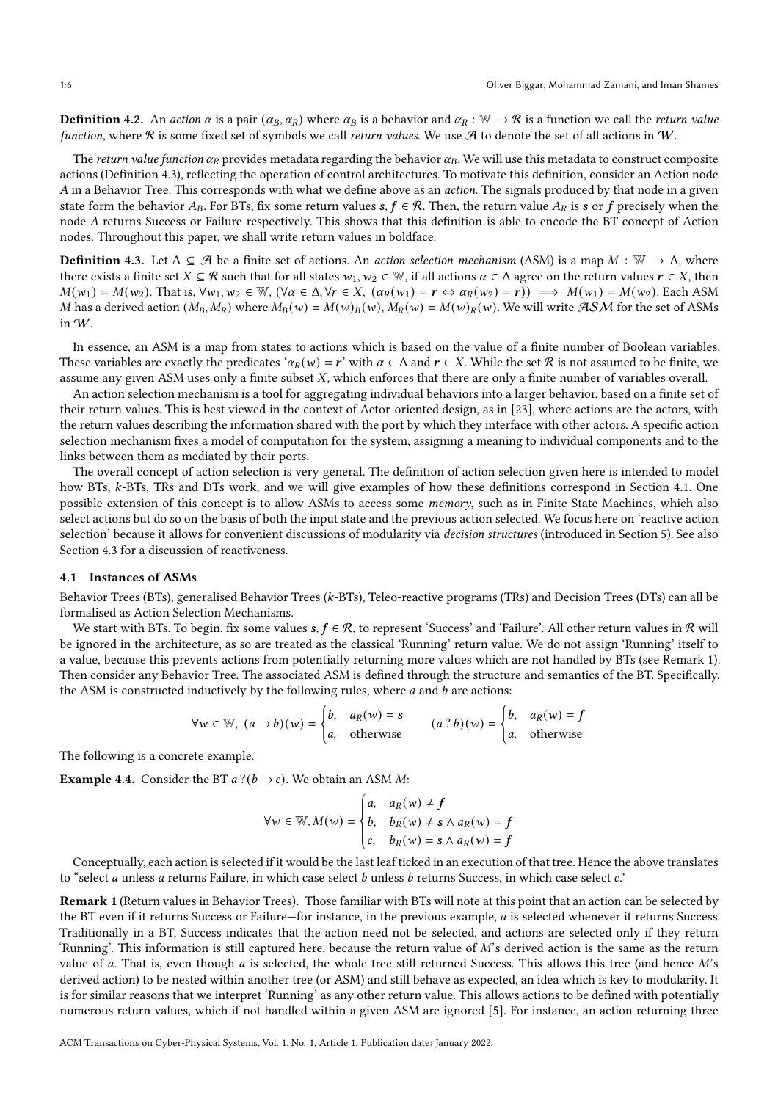**Definition 4.2.** An action  $\alpha$  is a pair  $(\alpha_B, \alpha_R)$  where  $\alpha_B$  is a behavior and  $\alpha_R : \mathbb{W} \to \mathbb{R}$  is a function we call the *return value* function, where  $R$  is some fixed set of symbols we call return values. We use  $A$  to denote the set of all actions in  $W$ .

The return value function  $\alpha_R$  provides metadata regarding the behavior  $\alpha_B$ . We will use this metadata to construct composite actions (Definition [4.3\)](#page-5-0), reflecting the operation of control architectures. To motivate this definition, consider an Action node  $\vec{A}$  in a Behavior Tree. This corresponds with what we define above as an *action*. The signals produced by that node in a given state form the behavior  $A_B$ . For BTs, fix some return values  $s, f \in \mathcal{R}$ . Then, the return value  $A_R$  is s or f precisely when the node A returns Success or Failure respectively. This shows that this definition is able to encode the BT concept of Action nodes. Throughout this paper, we shall write return values in boldface.

<span id="page-5-0"></span>**Definition 4.3.** Let  $\Delta \subseteq \mathcal{A}$  be a finite set of actions. An action selection mechanism (ASM) is a map  $M : \mathbb{W} \to \Delta$ , where there exists a finite set  $X \subseteq \mathcal{R}$  such that for all states  $w_1, w_2 \in \mathbb{W}$ , if all actions  $\alpha \in \Delta$  agree on the return values  $r \in X$ , then  $M(w_1) = M(w_2)$ . That is,  $\forall w_1, w_2 \in \mathbb{W}$ ,  $(\forall \alpha \in \Delta, \forall r \in X, (\alpha_R(w_1) = r \Leftrightarrow \alpha_R(w_2) = r)) \implies M(w_1) = M(w_2)$ . Each ASM M has a derived action  $(M_B, M_R)$  where  $M_B(w) = M(w)_B(w)$ ,  $M_R(w) = M(w)_R(w)$ . We will write  $\mathcal{RSM}$  for the set of ASMs in W.

In essence, an ASM is a map from states to actions which is based on the value of a finite number of Boolean variables. These variables are exactly the predicates ' $\alpha_R(w) = r'$ ' with  $\alpha \in \Delta$  and  $r \in X$ . While the set R is not assumed to be finite, we assume any given ASM uses only a finite subset  $X$ , which enforces that there are only a finite number of variables overall.

An action selection mechanism is a tool for aggregating individual behaviors into a larger behavior, based on a finite set of their return values. This is best viewed in the context of Actor-oriented design, as in [\[23\]](#page-24-16), where actions are the actors, with the return values describing the information shared with the port by which they interface with other actors. A specific action selection mechanism fixes a model of computation for the system, assigning a meaning to individual components and to the links between them as mediated by their ports.

The overall concept of action selection is very general. The definition of action selection given here is intended to model how BTs, k-BTs, TRs and DTs work, and we will give examples of how these definitions correspond in Section [4.1.](#page-5-1) One possible extension of this concept is to allow ASMs to access some memory, such as in Finite State Machines, which also select actions but do so on the basis of both the input state and the previous action selected. We focus here on 'reactive action selection' because it allows for convenient discussions of modularity via decision structures (introduced in Section [5\)](#page-7-0). See also Section [4.3](#page-6-0) for a discussion of reactiveness.

## <span id="page-5-1"></span>4.1 Instances of ASMs

Behavior Trees (BTs), generalised Behavior Trees (k-BTs), Teleo-reactive programs (TRs) and Decision Trees (DTs) can all be formalised as Action Selection Mechanisms.

We start with BTs. To begin, fix some values  $s, f \in \mathcal{R}$ , to represent 'Success' and 'Failure'. All other return values in  $\mathcal{R}$  will be ignored in the architecture, as so are treated as the classical 'Running' return value. We do not assign 'Running' itself to a value, because this prevents actions from potentially returning more values which are not handled by BTs (see Remark [1\)](#page-5-2). Then consider any Behavior Tree. The associated ASM is defined through the structure and semantics of the BT. Specifically, the ASM is constructed inductively by the following rules, where  $a$  and  $b$  are actions:

$$
\forall w \in \mathbb{W}, (a \rightarrow b)(w) = \begin{cases} b, & a_R(w) = s \\ a, & \text{otherwise} \end{cases} \qquad (a ? b)(w) = \begin{cases} b, & a_R(w) = f \\ a, & \text{otherwise} \end{cases}
$$

The following is a concrete example.

<span id="page-5-3"></span>**Example 4.4.** Consider the BT  $a$  ?( $b \rightarrow c$ ). We obtain an ASM *M*:

$$
\forall w \in \mathbb{W}, M(w) = \begin{cases} a, & a \infty \in \mathbb{W}, \\ b, & b \in \mathbb{W}, \\ c, & b \in \mathbb{W} \end{cases} \Rightarrow A \wedge a \in \mathbb{W} = f
$$

 Conceptually, each action is selected if it would be the last leaf ticked in an execution of that tree. Hence the above translates to "select  $a$  unless  $a$  returns Failure, in which case select  $b$  unless  $b$  returns Success, in which case select  $c$ ."

<span id="page-5-2"></span>Remark 1 (Return values in Behavior Trees). Those familiar with BTs will note at this point that an action can be selected by the BT even if it returns Success or Failure—for instance, in the previous example, *a* is selected whenever it returns Success. Traditionally in a BT, Success indicates that the action need not be selected, and actions are selected only if they return 'Running'. This information is still captured here, because the return value of  $M$ 's derived action is the same as the return value of  $a$ . That is, even though  $a$  is selected, the whole tree still returned Success. This allows this tree (and hence  $M$ 's derived action) to be nested within another tree (or ASM) and still behave as expected, an idea which is key to modularity. It is for similar reasons that we interpret 'Running' as any other return value. This allows actions to be defined with potentially numerous return values, which if not handled within a given ASM are ignored [\[5\]](#page-24-3). For instance, an action returning three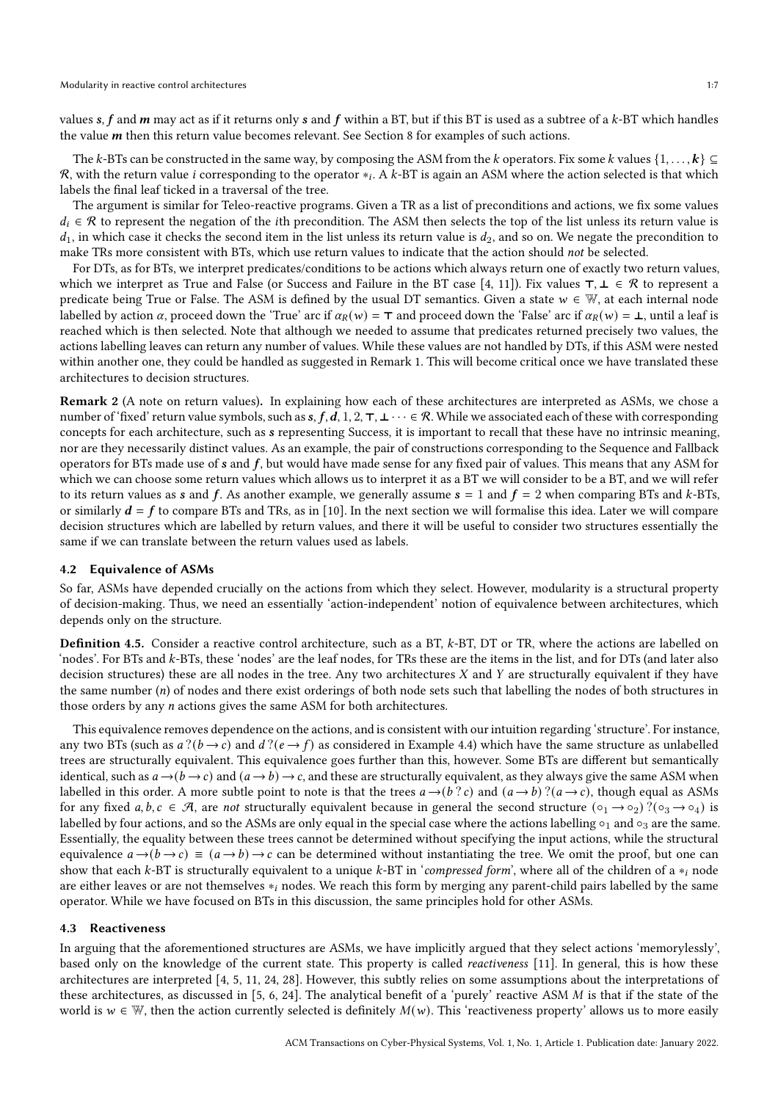values s,  $f$  and  $m$  may act as if it returns only  $s$  and  $f$  within a BT, but if this BT is used as a subtree of a  $k$ -BT which handles the value  $m$  then this return value becomes relevant. See Section [8](#page-15-0) for examples of such actions.

The k-BTs can be constructed in the same way, by composing the ASM from the k operators. Fix some k values  $\{1,\ldots,k\}\subseteq$  $\cal R$ , with the return value  $i$  corresponding to the operator  $*_i.$  A  $k$ -BT is again an ASM where the action selected is that which labels the final leaf ticked in a traversal of the tree.

The argument is similar for Teleo-reactive programs. Given a TR as a list of preconditions and actions, we fix some values  $d_i \in \mathcal{R}$  to represent the negation of the *i*th precondition. The ASM then selects the top of the list unless its return value is  $d_1$ , in which case it checks the second item in the list unless its return value is  $d_2$ , and so on. We negate the precondition to make TRs more consistent with BTs, which use return values to indicate that the action should not be selected.

For DTs, as for BTs, we interpret predicates/conditions to be actions which always return one of exactly two return values, which we interpret as True and False (or Success and Failure in the BT case [\[4](#page-24-11), [11](#page-24-2)]). Fix values  $\tau, \bot \in \mathcal{R}$  to represent a predicate being True or False. The ASM is defined by the usual DT semantics. Given a state  $w \in \mathbb{W}$ , at each internal node labelled by action  $\alpha$ , proceed down the 'True' arc if  $\alpha_R(w) = \tau$  and proceed down the 'False' arc if  $\alpha_R(w) = \bot$ , until a leaf is reached which is then selected. Note that although we needed to assume that predicates returned precisely two values, the actions labelling leaves can return any number of values. While these values are not handled by DTs, if this ASM were nested within another one, they could be handled as suggested in Remark [1.](#page-5-2) This will become critical once we have translated these architectures to decision structures.

Remark 2 (A note on return values). In explaining how each of these architectures are interpreted as ASMs, we chose a number of 'fixed' return value symbols, such as  $s, f, d, 1, 2, \tau, \bot \cdots \in \mathcal{R}$ . While we associated each of these with corresponding concepts for each architecture, such as s representing Success, it is important to recall that these have no intrinsic meaning, nor are they necessarily distinct values. As an example, the pair of constructions corresponding to the Sequence and Fallback operators for BTs made use of  $s$  and  $f$ , but would have made sense for any fixed pair of values. This means that any ASM for which we can choose some return values which allows us to interpret it as a BT we will consider to be a BT, and we will refer to its return values as s and f. As another example, we generally assume  $s = 1$  and  $f = 2$  when comparing BTs and k-BTs, or similarly  $d = f$  to compare BTs and TRs, as in [\[10\]](#page-24-13). In the next section we will formalise this idea. Later we will compare decision structures which are labelled by return values, and there it will be useful to consider two structures essentially the same if we can translate between the return values used as labels.

#### 4.2 Equivalence of ASMs

So far, ASMs have depended crucially on the actions from which they select. However, modularity is a structural property of decision-making. Thus, we need an essentially 'action-independent' notion of equivalence between architectures, which depends only on the structure.

<span id="page-6-1"></span>Definition 4.5. Consider a reactive control architecture, such as a BT, k-BT, DT or TR, where the actions are labelled on 'nodes'. For BTs and k-BTs, these 'nodes' are the leaf nodes, for TRs these are the items in the list, and for DTs (and later also decision structures) these are all nodes in the tree. Any two architectures  $X$  and  $Y$  are structurally equivalent if they have the same number  $(n)$  of nodes and there exist orderings of both node sets such that labelling the nodes of both structures in those orders by any  $n$  actions gives the same ASM for both architectures.

This equivalence removes dependence on the actions, and is consistent with our intuition regarding 'structure'. For instance, any two BTs (such as  $a$ ? $(b \rightarrow c)$  and  $d$ ? $(e \rightarrow f)$  as considered in Example [4.4\)](#page-5-3) which have the same structure as unlabelled trees are structurally equivalent. This equivalence goes further than this, however. Some BTs are different but semantically identical, such as  $a \rightarrow (b \rightarrow c)$  and  $(a \rightarrow b) \rightarrow c$ , and these are structurally equivalent, as they always give the same ASM when labelled in this order. A more subtle point to note is that the trees  $a \rightarrow (b ? c)$  and  $(a \rightarrow b) ?(a \rightarrow c)$ , though equal as ASMs for any fixed  $a, b, c \in \mathcal{A}$ , are not structurally equivalent because in general the second structure  $(\circ_1 \to \circ_2)$ ? $(\circ_3 \to \circ_4)$  is labelled by four actions, and so the ASMs are only equal in the special case where the actions labelling  $\circ_1$  and  $\circ_3$  are the same. Essentially, the equality between these trees cannot be determined without specifying the input actions, while the structural equivalence  $a \rightarrow (b \rightarrow c) \equiv (a \rightarrow b) \rightarrow c$  can be determined without instantiating the tree. We omit the proof, but one can show that each  $k$ -BT is structurally equivalent to a unique  $k$ -BT in 'compressed form', where all of the children of a  $*_i$  node are either leaves or are not themselves  $*_i$  nodes. We reach this form by merging any parent-child pairs labelled by the same operator. While we have focused on BTs in this discussion, the same principles hold for other ASMs.

#### <span id="page-6-0"></span>4.3 Reactiveness

In arguing that the aforementioned structures are ASMs, we have implicitly argued that they select actions 'memorylessly', based only on the knowledge of the current state. This property is called reactiveness [\[11\]](#page-24-2). In general, this is how these architectures are interpreted [\[4](#page-24-11), [5,](#page-24-3) [11](#page-24-2), [24](#page-24-18), [28\]](#page-25-2). However, this subtly relies on some assumptions about the interpretations of these architectures, as discussed in [\[5,](#page-24-3) [6](#page-24-14), [24\]](#page-24-18). The analytical benefit of a 'purely' reactive ASM  $M$  is that if the state of the world is  $w \in \mathbb{W}$ , then the action currently selected is definitely  $M(w)$ . This 'reactiveness property' allows us to more easily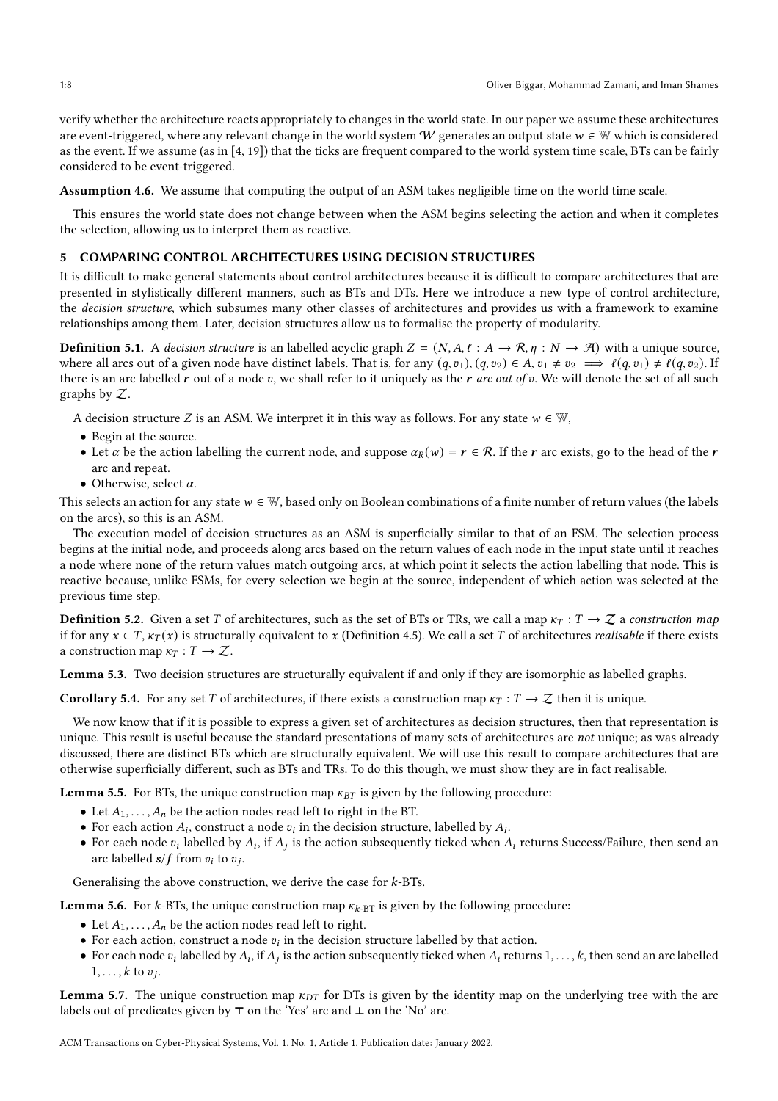verify whether the architecture reacts appropriately to changes in the world state. In our paper we assume these architectures are event-triggered, where any relevant change in the world system W generates an output state  $w \in \mathbb{W}$  which is considered as the event. If we assume (as in [\[4,](#page-24-11) [19](#page-24-10)]) that the ticks are frequent compared to the world system time scale, BTs can be fairly considered to be event-triggered.

Assumption 4.6. We assume that computing the output of an ASM takes negligible time on the world time scale.

This ensures the world state does not change between when the ASM begins selecting the action and when it completes the selection, allowing us to interpret them as reactive.

# <span id="page-7-0"></span>5 COMPARING CONTROL ARCHITECTURES USING DECISION STRUCTURES

It is difficult to make general statements about control architectures because it is difficult to compare architectures that are presented in stylistically different manners, such as BTs and DTs. Here we introduce a new type of control architecture, the *decision structure*, which subsumes many other classes of architectures and provides us with a framework to examine relationships among them. Later, decision structures allow us to formalise the property of modularity.

**Definition 5.1.** A decision structure is an labelled acyclic graph  $Z = (N, A, \ell : A \to \mathcal{R}, \eta : N \to \mathcal{A})$  with a unique source, where all arcs out of a given node have distinct labels. That is, for any  $(q, v_1), (q, v_2) \in A$ ,  $v_1 \neq v_2 \implies \ell(q, v_1) \neq \ell(q, v_2)$ . If there is an arc labelled  $r$  out of a node  $v$ , we shall refer to it uniquely as the  $r$  arc out of  $v$ . We will denote the set of all such graphs by Z.

A decision structure Z is an ASM. We interpret it in this way as follows. For any state  $w \in \mathbb{W}$ ,

- Begin at the source.
- Let  $\alpha$  be the action labelling the current node, and suppose  $\alpha_R(w) = r \in \mathcal{R}$ . If the r arc exists, go to the head of the r arc and repeat.
- Otherwise, select  $\alpha$ .

This selects an action for any state  $w \in \mathbb{W}$ , based only on Boolean combinations of a finite number of return values (the labels on the arcs), so this is an ASM.

The execution model of decision structures as an ASM is superficially similar to that of an FSM. The selection process begins at the initial node, and proceeds along arcs based on the return values of each node in the input state until it reaches a node where none of the return values match outgoing arcs, at which point it selects the action labelling that node. This is reactive because, unlike FSMs, for every selection we begin at the source, independent of which action was selected at the previous time step.

**Definition 5.2.** Given a set T of architectures, such as the set of BTs or TRs, we call a map  $\kappa_T : T \to Z$  a construction map if for any  $x \in T$ ,  $\kappa_T(x)$  is structurally equivalent to x (Definition [4.5\)](#page-6-1). We call a set T of architectures *realisable* if there exists a construction map  $\kappa_T : T \to \mathcal{Z}$ .

<span id="page-7-1"></span>Lemma 5.3. Two decision structures are structurally equivalent if and only if they are isomorphic as labelled graphs.

<span id="page-7-2"></span>**Corollary 5.4.** For any set T of architectures, if there exists a construction map  $\kappa_T : T \to \mathcal{Z}$  then it is unique.

We now know that if it is possible to express a given set of architectures as decision structures, then that representation is unique. This result is useful because the standard presentations of many sets of architectures are *not* unique; as was already discussed, there are distinct BTs which are structurally equivalent. We will use this result to compare architectures that are otherwise superficially different, such as BTs and TRs. To do this though, we must show they are in fact realisable.

<span id="page-7-3"></span>**Lemma 5.5.** For BTs, the unique construction map  $\kappa_{BT}$  is given by the following procedure:

- Let  $A_1, \ldots, A_n$  be the action nodes read left to right in the BT.
- For each action  $A_i$ , construct a node  $v_i$  in the decision structure, labelled by  $A_i$ .
- For each node  $v_i$  labelled by  $A_i$ , if  $A_j$  is the action subsequently ticked when  $A_i$  returns Success/Failure, then send an arc labelled  $s/f$  from  $v_i$  to  $v_j$ .

Generalising the above construction, we derive the case for  $k$ -BTs.

**Lemma 5.6.** For  $k$ -BTs, the unique construction map  $\kappa_{k\text{-BT}}$  is given by the following procedure:

- Let  $A_1, \ldots, A_n$  be the action nodes read left to right.
- For each action, construct a node  $v_i$  in the decision structure labelled by that action.
- For each node  $v_i$  labelled by  $A_i$ , if  $A_j$  is the action subsequently ticked when  $A_i$  returns  $1, \ldots, k$ , then send an arc labelled  $1, \ldots, k$  to  $v_j$ .

Lemma 5.7. The unique construction map  $\kappa_{DT}$  for DTs is given by the identity map on the underlying tree with the arc labels out of predicates given by ⊤ on the 'Yes' arc and ⊥ on the 'No' arc.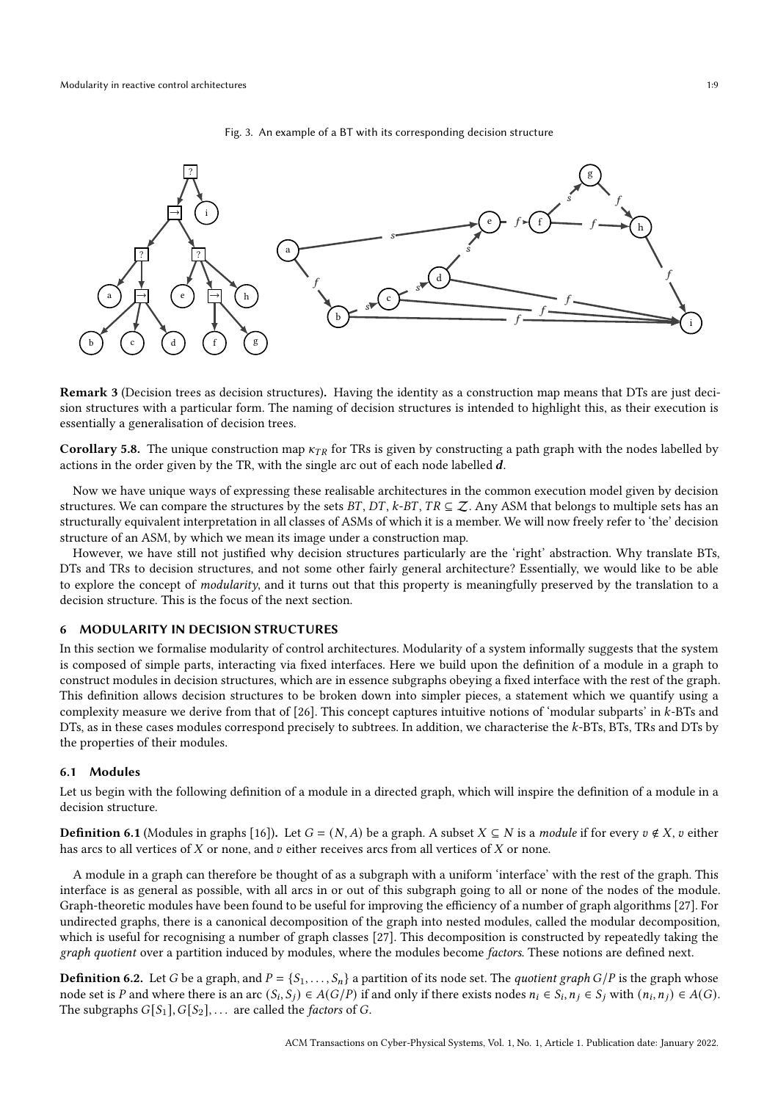#### Fig. 3. An example of a BT with its corresponding decision structure

<span id="page-8-1"></span>

Remark 3 (Decision trees as decision structures). Having the identity as a construction map means that DTs are just decision structures with a particular form. The naming of decision structures is intended to highlight this, as their execution is essentially a generalisation of decision trees.

**Corollary 5.8.** The unique construction map  $\kappa_{TR}$  for TRs is given by constructing a path graph with the nodes labelled by actions in the order given by the TR, with the single arc out of each node labelled  $d$ .

Now we have unique ways of expressing these realisable architectures in the common execution model given by decision structures. We can compare the structures by the sets  $BT, DT, k-BT, TR \subseteq \mathcal{Z}$ . Any ASM that belongs to multiple sets has an structurally equivalent interpretation in all classes of ASMs of which it is a member. We will now freely refer to 'the' decision structure of an ASM, by which we mean its image under a construction map.

However, we have still not justified why decision structures particularly are the 'right' abstraction. Why translate BTs, DTs and TRs to decision structures, and not some other fairly general architecture? Essentially, we would like to be able to explore the concept of *modularity*, and it turns out that this property is meaningfully preserved by the translation to a decision structure. This is the focus of the next section.

# <span id="page-8-0"></span>6 MODULARITY IN DECISION STRUCTURES

In this section we formalise modularity of control architectures. Modularity of a system informally suggests that the system is composed of simple parts, interacting via fixed interfaces. Here we build upon the definition of a module in a graph to construct modules in decision structures, which are in essence subgraphs obeying a fixed interface with the rest of the graph. This definition allows decision structures to be broken down into simpler pieces, a statement which we quantify using a complexity measure we derive from that of [\[26](#page-25-0)]. This concept captures intuitive notions of 'modular subparts' in k-BTs and DTs, as in these cases modules correspond precisely to subtrees. In addition, we characterise the k-BTs, BTs, TRs and DTs by the properties of their modules.

#### 6.1 Modules

Let us begin with the following definition of a module in a directed graph, which will inspire the definition of a module in a decision structure.

**Definition 6.1** (Modules in graphs [\[16\]](#page-24-0)). Let  $G = (N, A)$  be a graph. A subset  $X \subseteq N$  is a *module* if for every  $v \notin X$ ,  $v$  either has arcs to all vertices of  $X$  or none, and  $v$  either receives arcs from all vertices of  $X$  or none.

A module in a graph can therefore be thought of as a subgraph with a uniform 'interface' with the rest of the graph. This interface is as general as possible, with all arcs in or out of this subgraph going to all or none of the nodes of the module. Graph-theoretic modules have been found to be useful for improving the efficiency of a number of graph algorithms [\[27](#page-25-8)]. For undirected graphs, there is a canonical decomposition of the graph into nested modules, called the modular decomposition, which is useful for recognising a number of graph classes [\[27\]](#page-25-8). This decomposition is constructed by repeatedly taking the graph quotient over a partition induced by modules, where the modules become factors. These notions are defined next.

**Definition 6.2.** Let G be a graph, and  $P = \{S_1, \ldots, S_n\}$  a partition of its node set. The *quotient graph G*/P is the graph whose node set is P and where there is an arc  $(S_i, S_j) \in A(G/P)$  if and only if there exists nodes  $n_i \in S_i$ ,  $n_j \in S_j$  with  $(n_i, n_j) \in A(G)$ . The subgraphs  $G[S_1], G[S_2], \ldots$  are called the *factors* of *G*.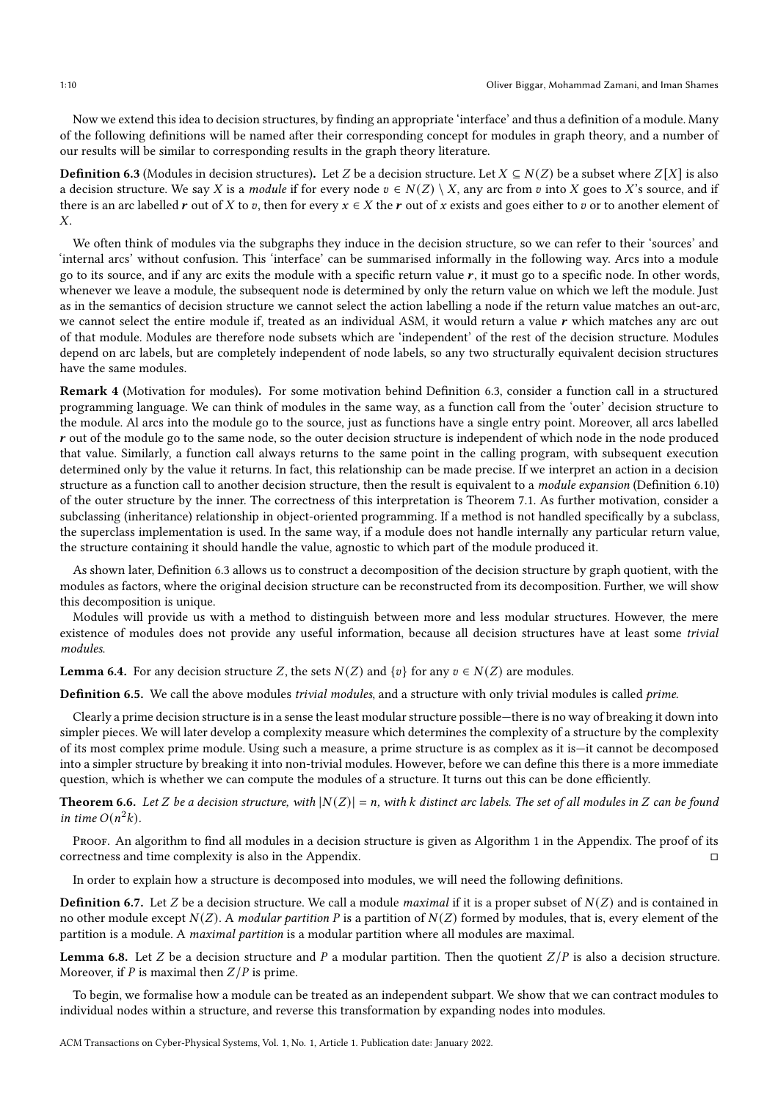Now we extend this idea to decision structures, by finding an appropriate 'interface' and thus a definition of a module. Many of the following definitions will be named after their corresponding concept for modules in graph theory, and a number of our results will be similar to corresponding results in the graph theory literature.

<span id="page-9-0"></span>**Definition 6.3** (Modules in decision structures). Let Z be a decision structure. Let  $X \subseteq N(Z)$  be a subset where  $Z[X]$  is also a decision structure. We say X is a module if for every node  $v \in N(Z) \setminus X$ , any arc from v into X goes to X's source, and if there is an arc labelled r out of X to v, then for every  $x \in X$  the r out of x exists and goes either to v or to another element of  $\boldsymbol{X}$ 

We often think of modules via the subgraphs they induce in the decision structure, so we can refer to their 'sources' and 'internal arcs' without confusion. This 'interface' can be summarised informally in the following way. Arcs into a module go to its source, and if any arc exits the module with a specific return value  $r$ , it must go to a specific node. In other words, whenever we leave a module, the subsequent node is determined by only the return value on which we left the module. Just as in the semantics of decision structure we cannot select the action labelling a node if the return value matches an out-arc, we cannot select the entire module if, treated as an individual ASM, it would return a value  $r$  which matches any arc out of that module. Modules are therefore node subsets which are 'independent' of the rest of the decision structure. Modules depend on arc labels, but are completely independent of node labels, so any two structurally equivalent decision structures have the same modules.

Remark 4 (Motivation for modules). For some motivation behind Definition [6.3,](#page-9-0) consider a function call in a structured programming language. We can think of modules in the same way, as a function call from the 'outer' decision structure to the module. Al arcs into the module go to the source, just as functions have a single entry point. Moreover, all arcs labelled  **out of the module go to the same node, so the outer decision structure is independent of which node in the node produced** that value. Similarly, a function call always returns to the same point in the calling program, with subsequent execution determined only by the value it returns. In fact, this relationship can be made precise. If we interpret an action in a decision structure as a function call to another decision structure, then the result is equivalent to a *module expansion* (Definition [6.10\)](#page-10-0) of the outer structure by the inner. The correctness of this interpretation is Theorem [7.1.](#page-14-1) As further motivation, consider a subclassing (inheritance) relationship in object-oriented programming. If a method is not handled specifically by a subclass, the superclass implementation is used. In the same way, if a module does not handle internally any particular return value, the structure containing it should handle the value, agnostic to which part of the module produced it.

As shown later, Definition [6.3](#page-9-0) allows us to construct a decomposition of the decision structure by graph quotient, with the modules as factors, where the original decision structure can be reconstructed from its decomposition. Further, we will show this decomposition is unique.

Modules will provide us with a method to distinguish between more and less modular structures. However, the mere existence of modules does not provide any useful information, because all decision structures have at least some trivial modules.

<span id="page-9-2"></span>**Lemma 6.4.** For any decision structure Z, the sets  $N(Z)$  and  $\{v\}$  for any  $v \in N(Z)$  are modules.

Definition 6.5. We call the above modules trivial modules, and a structure with only trivial modules is called prime.

Clearly a prime decision structure is in a sense the least modular structure possible—there is no way of breaking it down into simpler pieces. We will later develop a complexity measure which determines the complexity of a structure by the complexity of its most complex prime module. Using such a measure, a prime structure is as complex as it is—it cannot be decomposed into a simpler structure by breaking it into non-trivial modules. However, before we can define this there is a more immediate question, which is whether we can compute the modules of a structure. It turns out this can be done efficiently.

<span id="page-9-1"></span>**Theorem 6.6.** Let Z be a decision structure, with  $|N(Z)| = n$ , with k distinct arc labels. The set of all modules in Z can be found in time  $O(n^2k)$ .

Proof. An algorithm to find all modules in a decision structure is given as Algorithm [1](#page-20-0) in the Appendix. The proof of its correctness and time complexity is also in the Appendix.

In order to explain how a structure is decomposed into modules, we will need the following definitions.

**Definition 6.7.** Let Z be a decision structure. We call a module *maximal* if it is a proper subset of  $N(Z)$  and is contained in no other module except  $N(Z)$ . A *modular partition P* is a partition of  $N(Z)$  formed by modules, that is, every element of the partition is a module. A maximal partition is a modular partition where all modules are maximal.

<span id="page-9-3"></span>**Lemma 6.8.** Let Z be a decision structure and P a modular partition. Then the quotient  $Z/P$  is also a decision structure. Moreover, if  $P$  is maximal then  $Z/P$  is prime.

To begin, we formalise how a module can be treated as an independent subpart. We show that we can contract modules to individual nodes within a structure, and reverse this transformation by expanding nodes into modules.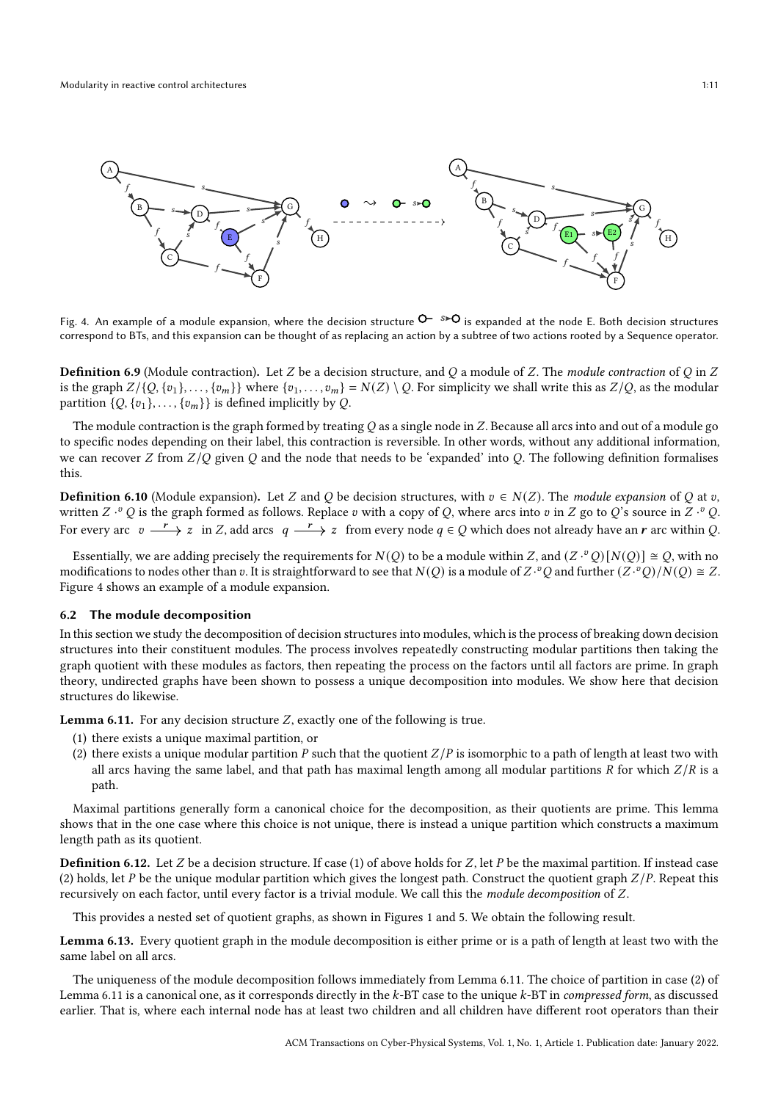<span id="page-10-1"></span>

Fig. 4. An example of a module expansion, where the decision structure  $\mathsf{O}$ -  $s\blacktriangleright\mathsf{O}$  is expanded at the node E. Both decision structures correspond to BTs, and this expansion can be thought of as replacing an action by a subtree of two actions rooted by a Sequence operator.

**Definition 6.9** (Module contraction). Let Z be a decision structure, and Q a module of Z. The module contraction of Q in Z is the graph  $Z/\{Q, \{v_1\}, \ldots, \{v_m\}\}\$  where  $\{v_1, \ldots, v_m\} = N(Z) \setminus Q$ . For simplicity we shall write this as  $Z/Q$ , as the modular partition  $\{Q, \{v_1\}, \ldots, \{v_m\}\}\$ is defined implicitly by Q.

The module contraction is the graph formed by treating  $Q$  as a single node in  $Z$ . Because all arcs into and out of a module go to specific nodes depending on their label, this contraction is reversible. In other words, without any additional information, we can recover Z from  $Z/Q$  given Q and the node that needs to be 'expanded' into Q. The following definition formalises this.

<span id="page-10-0"></span>**Definition 6.10** (Module expansion). Let Z and Q be decision structures, with  $v \in N(Z)$ . The module expansion of Q at v, written Z  $\cdot^vQ$  is the graph formed as follows. Replace  $v$  with a copy of Q, where arcs into  $v$  in  $Z$  go to  $Q$ 's source in  $Z\cdot^vQ$ . For every arc  $v \xrightarrow{r} z$  in Z, add arcs  $q \xrightarrow{r} z$  from every node  $q \in Q$  which does not already have an  $r$  arc within Q.

Essentially, we are adding precisely the requirements for  $N(Q)$  to be a module within Z, and  $(Z \cdot^v Q)[N(Q)] \cong Q$ , with no modifications to nodes other than  $v$ . It is straightforward to see that  $N(Q)$  is a module of  $Z \cdot^v Q$  and further  $(Z \cdot^v Q)/N(Q) \cong Z$ . Figure [4](#page-10-1) shows an example of a module expansion.

#### 6.2 The module decomposition

In this section we study the decomposition of decision structures into modules, which is the process of breaking down decision structures into their constituent modules. The process involves repeatedly constructing modular partitions then taking the graph quotient with these modules as factors, then repeating the process on the factors until all factors are prime. In graph theory, undirected graphs have been shown to possess a unique decomposition into modules. We show here that decision structures do likewise.

<span id="page-10-2"></span>Lemma 6.11. For any decision structure  $Z$ , exactly one of the following is true.

- (1) there exists a unique maximal partition, or
- (2) there exists a unique modular partition P such that the quotient  $Z/P$  is isomorphic to a path of length at least two with all arcs having the same label, and that path has maximal length among all modular partitions  *for which*  $Z/R$  *is a* path.

Maximal partitions generally form a canonical choice for the decomposition, as their quotients are prime. This lemma shows that in the one case where this choice is not unique, there is instead a unique partition which constructs a maximum length path as its quotient.

**Definition 6.12.** Let  $Z$  be a decision structure. If case (1) of above holds for  $Z$ , let  $P$  be the maximal partition. If instead case (2) holds, let P be the unique modular partition which gives the longest path. Construct the quotient graph  $Z/P$ . Repeat this recursively on each factor, until every factor is a trivial module. We call this the module decomposition of Z.

This provides a nested set of quotient graphs, as shown in Figures [1](#page-1-0) and [5.](#page-11-0) We obtain the following result.

<span id="page-10-3"></span>Lemma 6.13. Every quotient graph in the module decomposition is either prime or is a path of length at least two with the same label on all arcs.

The uniqueness of the module decomposition follows immediately from Lemma [6.11.](#page-10-2) The choice of partition in case (2) of Lemma [6.11](#page-10-2) is a canonical one, as it corresponds directly in the k-BT case to the unique k-BT in *compressed form*, as discussed earlier. That is, where each internal node has at least two children and all children have different root operators than their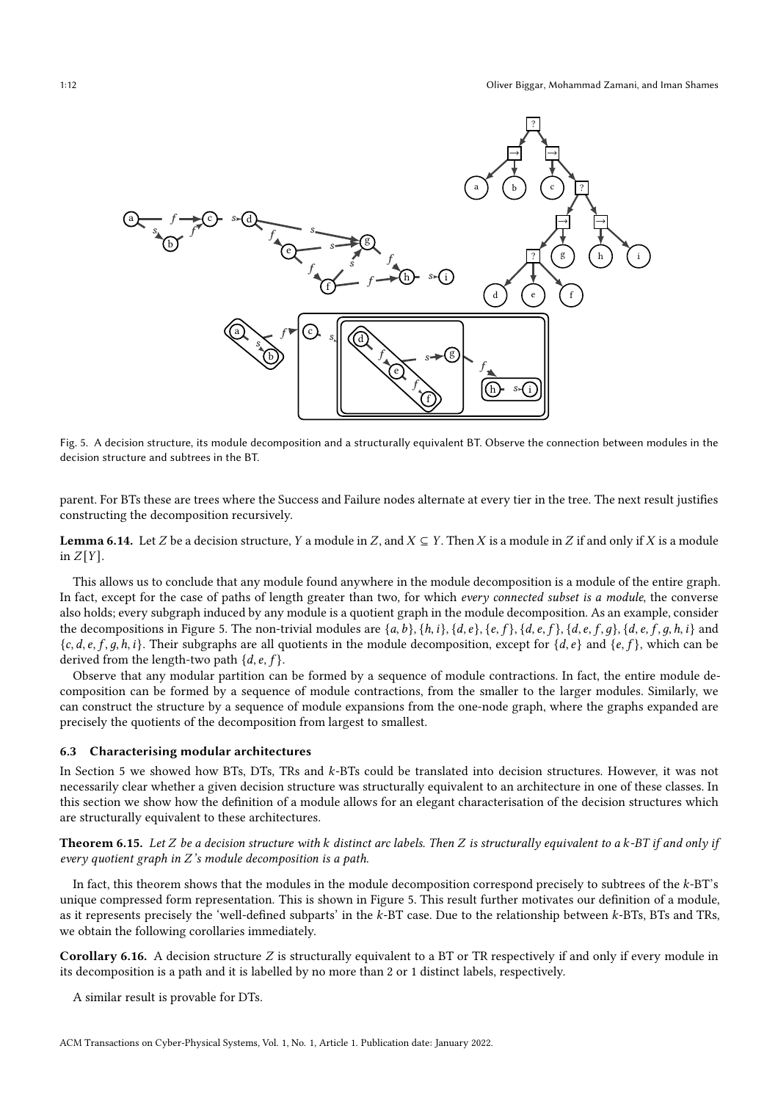<span id="page-11-0"></span>

Fig. 5. A decision structure, its module decomposition and a structurally equivalent BT. Observe the connection between modules in the decision structure and subtrees in the BT.

parent. For BTs these are trees where the Success and Failure nodes alternate at every tier in the tree. The next result justifies constructing the decomposition recursively.

<span id="page-11-1"></span>**Lemma 6.14.** Let Z be a decision structure, Y a module in Z, and  $X \subseteq Y$ . Then X is a module in Z if and only if X is a module in  $Z[Y]$ .

This allows us to conclude that any module found anywhere in the module decomposition is a module of the entire graph. In fact, except for the case of paths of length greater than two, for which every connected subset is a module, the converse also holds; every subgraph induced by any module is a quotient graph in the module decomposition. As an example, consider the decompositions in Figure [5.](#page-11-0) The non-trivial modules are  $\{a, b\}$ ,  $\{h, i\}$ ,  $\{d, e\}$ ,  $\{e, f\}$ ,  $\{d, e, f, g\}$ ,  $\{d, e, f, g, h, i\}$  and  ${c, d, e, f, q, h, i}$ . Their subgraphs are all quotients in the module decomposition, except for  ${d, e}$  and  ${e, f}$ , which can be derived from the length-two path  $\{d, e, f\}$ .

Observe that any modular partition can be formed by a sequence of module contractions. In fact, the entire module decomposition can be formed by a sequence of module contractions, from the smaller to the larger modules. Similarly, we can construct the structure by a sequence of module expansions from the one-node graph, where the graphs expanded are precisely the quotients of the decomposition from largest to smallest.

#### 6.3 Characterising modular architectures

In Section [5](#page-7-0) we showed how BTs, DTs, TRs and k-BTs could be translated into decision structures. However, it was not necessarily clear whether a given decision structure was structurally equivalent to an architecture in one of these classes. In this section we show how the definition of a module allows for an elegant characterisation of the decision structures which are structurally equivalent to these architectures.

<span id="page-11-2"></span>**Theorem 6.15.** Let Z be a decision structure with k distinct arc labels. Then Z is structurally equivalent to a k-BT if and only if every quotient graph in Z's module decomposition is a path.

In fact, this theorem shows that the modules in the module decomposition correspond precisely to subtrees of the  $k$ -BT's unique compressed form representation. This is shown in Figure [5.](#page-11-0) This result further motivates our definition of a module, as it represents precisely the 'well-defined subparts' in the  $k$ -BT case. Due to the relationship between  $k$ -BTs, BTs and TRs, we obtain the following corollaries immediately.

Corollary 6.16. A decision structure  $Z$  is structurally equivalent to a BT or TR respectively if and only if every module in its decomposition is a path and it is labelled by no more than 2 or 1 distinct labels, respectively.

A similar result is provable for DTs.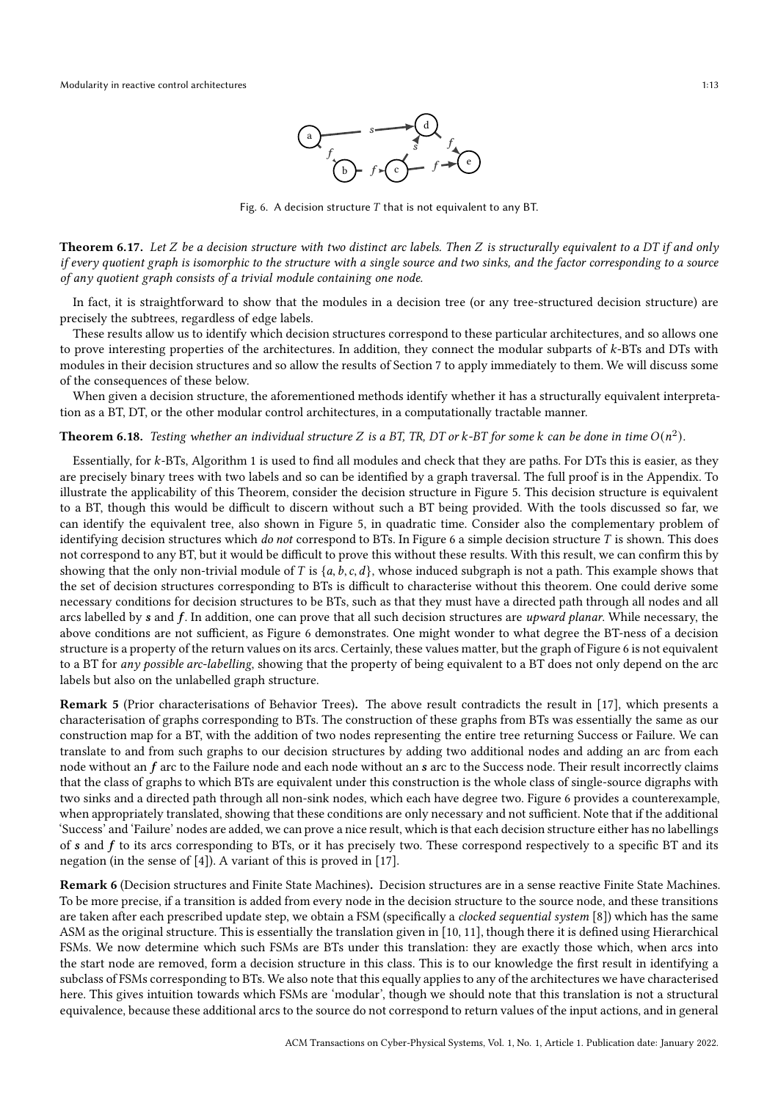

Fig. 6. A decision structure  $T$  that is not equivalent to any BT.

<span id="page-12-3"></span><span id="page-12-2"></span>Theorem 6.17. Let  $Z$  be a decision structure with two distinct arc labels. Then  $Z$  is structurally equivalent to a DT if and only if every quotient graph is isomorphic to the structure with a single source and two sinks, and the factor corresponding to a source of any quotient graph consists of a trivial module containing one node.

In fact, it is straightforward to show that the modules in a decision tree (or any tree-structured decision structure) are precisely the subtrees, regardless of edge labels.

These results allow us to identify which decision structures correspond to these particular architectures, and so allows one to prove interesting properties of the architectures. In addition, they connect the modular subparts of k-BTs and DTs with modules in their decision structures and so allow the results of Section [7](#page-13-1) to apply immediately to them. We will discuss some of the consequences of these below.

When given a decision structure, the aforementioned methods identify whether it has a structurally equivalent interpretation as a BT, DT, or the other modular control architectures, in a computationally tractable manner.

# <span id="page-12-4"></span>**Theorem 6.18.** Testing whether an individual structure Z is a BT, TR, DT or k-BT for some k can be done in time  $O(n^2)$ .

Essentially, for k-BTs, Algorithm [1](#page-20-0) is used to find all modules and check that they are paths. For DTs this is easier, as they are precisely binary trees with two labels and so can be identified by a graph traversal. The full proof is in the Appendix. To illustrate the applicability of this Theorem, consider the decision structure in Figure [5.](#page-11-0) This decision structure is equivalent to a BT, though this would be difficult to discern without such a BT being provided. With the tools discussed so far, we can identify the equivalent tree, also shown in Figure [5,](#page-11-0) in quadratic time. Consider also the complementary problem of identifying decision structures which do not correspond to BTs. In Figure [6](#page-12-2) a simple decision structure  $T$  is shown. This does not correspond to any BT, but it would be difficult to prove this without these results. With this result, we can confirm this by showing that the only non-trivial module of T is  $\{a, b, c, d\}$ , whose induced subgraph is not a path. This example shows that the set of decision structures corresponding to BTs is difficult to characterise without this theorem. One could derive some necessary conditions for decision structures to be BTs, such as that they must have a directed path through all nodes and all arcs labelled by  $s$  and  $f$ . In addition, one can prove that all such decision structures are upward planar. While necessary, the above conditions are not sufficient, as Figure [6](#page-12-2) demonstrates. One might wonder to what degree the BT-ness of a decision structure is a property of the return values on its arcs. Certainly, these values matter, but the graph of Figure [6](#page-12-2) is not equivalent to a BT for any possible arc-labelling, showing that the property of being equivalent to a BT does not only depend on the arc labels but also on the unlabelled graph structure.

<span id="page-12-0"></span>Remark 5 (Prior characterisations of Behavior Trees). The above result contradicts the result in [\[17](#page-24-19)], which presents a characterisation of graphs corresponding to BTs. The construction of these graphs from BTs was essentially the same as our construction map for a BT, with the addition of two nodes representing the entire tree returning Success or Failure. We can translate to and from such graphs to our decision structures by adding two additional nodes and adding an arc from each node without an  $f$  arc to the Failure node and each node without an  $s$  arc to the Success node. Their result incorrectly claims that the class of graphs to which BTs are equivalent under this construction is the whole class of single-source digraphs with two sinks and a directed path through all non-sink nodes, which each have degree two. Figure [6](#page-12-2) provides a counterexample, when appropriately translated, showing that these conditions are only necessary and not sufficient. Note that if the additional 'Success' and 'Failure' nodes are added, we can prove a nice result, which is that each decision structure either has no labellings of  $s$  and  $f$  to its arcs corresponding to BTs, or it has precisely two. These correspond respectively to a specific BT and its negation (in the sense of [\[4](#page-24-11)]). A variant of this is proved in [\[17\]](#page-24-19).

<span id="page-12-1"></span>Remark 6 (Decision structures and Finite State Machines). Decision structures are in a sense reactive Finite State Machines. To be more precise, if a transition is added from every node in the decision structure to the source node, and these transitions are taken after each prescribed update step, we obtain a FSM (specifically a *clocked sequential system* [\[8](#page-24-22)]) which has the same ASM as the original structure. This is essentially the translation given in [\[10,](#page-24-13) [11](#page-24-2)], though there it is defined using Hierarchical FSMs. We now determine which such FSMs are BTs under this translation: they are exactly those which, when arcs into the start node are removed, form a decision structure in this class. This is to our knowledge the first result in identifying a subclass of FSMs corresponding to BTs. We also note that this equally applies to any of the architectures we have characterised here. This gives intuition towards which FSMs are 'modular', though we should note that this translation is not a structural equivalence, because these additional arcs to the source do not correspond to return values of the input actions, and in general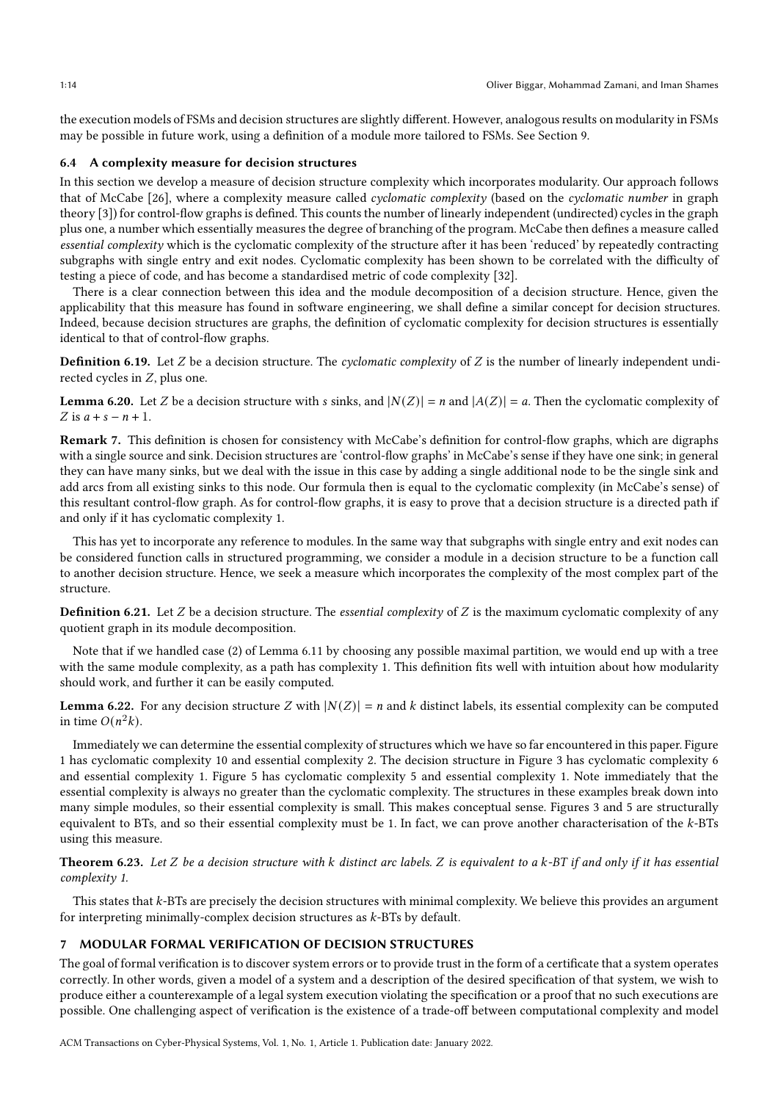the execution models of FSMs and decision structures are slightly different. However, analogous results on modularity in FSMs may be possible in future work, using a definition of a module more tailored to FSMs. See Section [9.](#page-19-0)

## <span id="page-13-0"></span>6.4 A complexity measure for decision structures

In this section we develop a measure of decision structure complexity which incorporates modularity. Our approach follows that of McCabe [\[26\]](#page-25-0), where a complexity measure called cyclomatic complexity (based on the cyclomatic number in graph theory [\[3](#page-24-23)]) for control-flow graphs is defined. This counts the number of linearly independent (undirected) cycles in the graph plus one, a number which essentially measures the degree of branching of the program. McCabe then defines a measure called essential complexity which is the cyclomatic complexity of the structure after it has been 'reduced' by repeatedly contracting subgraphs with single entry and exit nodes. Cyclomatic complexity has been shown to be correlated with the difficulty of testing a piece of code, and has become a standardised metric of code complexity [\[32](#page-25-3)].

There is a clear connection between this idea and the module decomposition of a decision structure. Hence, given the applicability that this measure has found in software engineering, we shall define a similar concept for decision structures. Indeed, because decision structures are graphs, the definition of cyclomatic complexity for decision structures is essentially identical to that of control-flow graphs.

**Definition 6.19.** Let  $Z$  be a decision structure. The *cyclomatic complexity* of  $Z$  is the number of linearly independent undirected cycles in Z, plus one.

<span id="page-13-2"></span>**Lemma 6.20.** Let Z be a decision structure with s sinks, and  $|N(Z)| = n$  and  $|A(Z)| = a$ . Then the cyclomatic complexity of Z is  $a + s - n + 1$ .

Remark 7. This definition is chosen for consistency with McCabe's definition for control-flow graphs, which are digraphs with a single source and sink. Decision structures are 'control-flow graphs' in McCabe's sense if they have one sink; in general they can have many sinks, but we deal with the issue in this case by adding a single additional node to be the single sink and add arcs from all existing sinks to this node. Our formula then is equal to the cyclomatic complexity (in McCabe's sense) of this resultant control-flow graph. As for control-flow graphs, it is easy to prove that a decision structure is a directed path if and only if it has cyclomatic complexity 1.

This has yet to incorporate any reference to modules. In the same way that subgraphs with single entry and exit nodes can be considered function calls in structured programming, we consider a module in a decision structure to be a function call to another decision structure. Hence, we seek a measure which incorporates the complexity of the most complex part of the structure.

**Definition 6.21.** Let  $Z$  be a decision structure. The *essential complexity* of  $Z$  is the maximum cyclomatic complexity of any quotient graph in its module decomposition.

Note that if we handled case (2) of Lemma [6.11](#page-10-2) by choosing any possible maximal partition, we would end up with a tree with the same module complexity, as a path has complexity 1. This definition fits well with intuition about how modularity should work, and further it can be easily computed.

<span id="page-13-3"></span>**Lemma 6.22.** For any decision structure Z with  $|N(Z)| = n$  and k distinct labels, its essential complexity can be computed in time  $O(n^2k)$ .

Immediately we can determine the essential complexity of structures which we have so far encountered in this paper. Figure [1](#page-1-0) has cyclomatic complexity 10 and essential complexity 2. The decision structure in Figure [3](#page-8-1) has cyclomatic complexity 6 and essential complexity 1. Figure [5](#page-11-0) has cyclomatic complexity 5 and essential complexity 1. Note immediately that the essential complexity is always no greater than the cyclomatic complexity. The structures in these examples break down into many simple modules, so their essential complexity is small. This makes conceptual sense. Figures [3](#page-8-1) and [5](#page-11-0) are structurally equivalent to BTs, and so their essential complexity must be 1. In fact, we can prove another characterisation of the  $k$ -BTs using this measure.

<span id="page-13-4"></span>Theorem 6.23. Let  $Z$  be a decision structure with  $k$  distinct arc labels.  $Z$  is equivalent to a  $k$ -BT if and only if it has essential complexity 1.

This states that  $k$ -BTs are precisely the decision structures with minimal complexity. We believe this provides an argument for interpreting minimally-complex decision structures as  $k$ -BTs by default.

## <span id="page-13-1"></span>7 MODULAR FORMAL VERIFICATION OF DECISION STRUCTURES

The goal of formal verification is to discover system errors or to provide trust in the form of a certificate that a system operates correctly. In other words, given a model of a system and a description of the desired specification of that system, we wish to produce either a counterexample of a legal system execution violating the specification or a proof that no such executions are possible. One challenging aspect of verification is the existence of a trade-off between computational complexity and model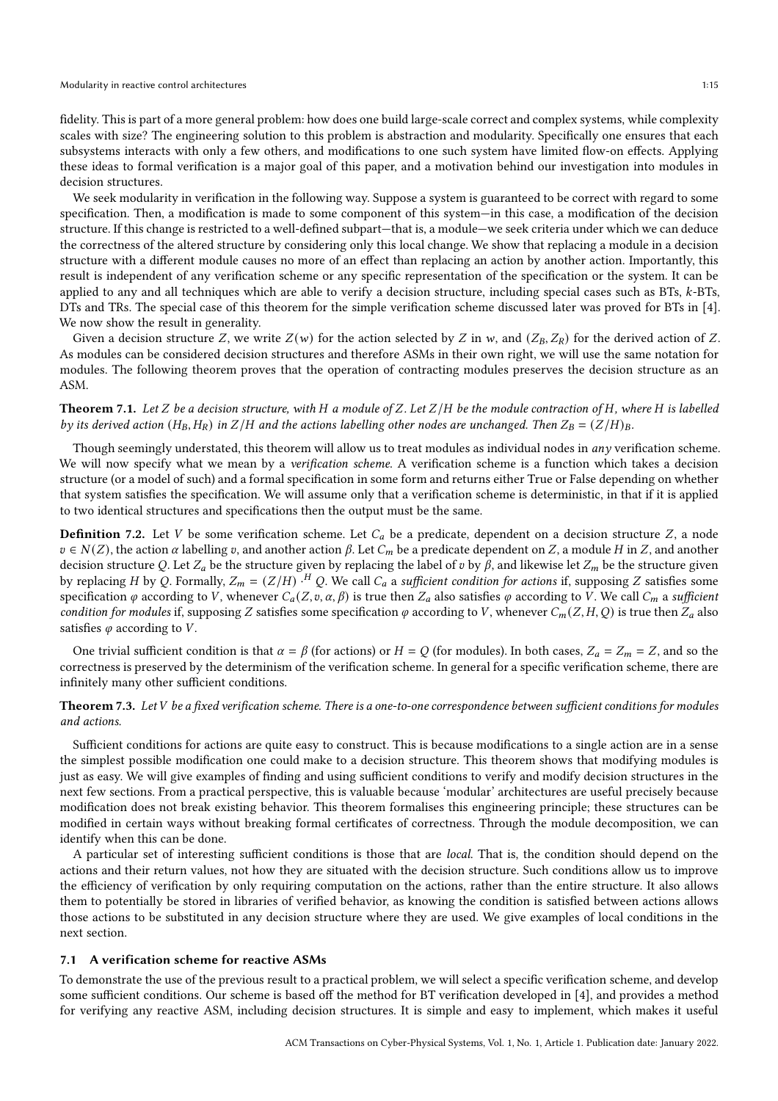#### Modularity in reactive control architectures 1:15

fidelity. This is part of a more general problem: how does one build large-scale correct and complex systems, while complexity scales with size? The engineering solution to this problem is abstraction and modularity. Specifically one ensures that each subsystems interacts with only a few others, and modifications to one such system have limited flow-on effects. Applying these ideas to formal verification is a major goal of this paper, and a motivation behind our investigation into modules in decision structures.

We seek modularity in verification in the following way. Suppose a system is guaranteed to be correct with regard to some specification. Then, a modification is made to some component of this system—in this case, a modification of the decision structure. If this change is restricted to a well-defined subpart—that is, a module—we seek criteria under which we can deduce the correctness of the altered structure by considering only this local change. We show that replacing a module in a decision structure with a different module causes no more of an effect than replacing an action by another action. Importantly, this result is independent of any verification scheme or any specific representation of the specification or the system. It can be applied to any and all techniques which are able to verify a decision structure, including special cases such as BTs,  $k$ -BTs, DTs and TRs. The special case of this theorem for the simple verification scheme discussed later was proved for BTs in [\[4](#page-24-11)]. We now show the result in generality.

Given a decision structure Z, we write  $Z(w)$  for the action selected by Z in w, and  $(Z_B, Z_R)$  for the derived action of Z. As modules can be considered decision structures and therefore ASMs in their own right, we will use the same notation for modules. The following theorem proves that the operation of contracting modules preserves the decision structure as an ASM.

# <span id="page-14-1"></span>**Theorem 7.1.** Let Z be a decision structure, with H a module of Z. Let  $Z/H$  be the module contraction of H, where H is labelled by its derived action ( $H_B$ ,  $H_R$ ) in  $Z/H$  and the actions labelling other nodes are unchanged. Then  $Z_B = (Z/H)_B$ .

Though seemingly understated, this theorem will allow us to treat modules as individual nodes in any verification scheme. We will now specify what we mean by a verification scheme. A verification scheme is a function which takes a decision structure (or a model of such) and a formal specification in some form and returns either True or False depending on whether that system satisfies the specification. We will assume only that a verification scheme is deterministic, in that if it is applied to two identical structures and specifications then the output must be the same.

**Definition** 7.2. Let V be some verification scheme. Let  $C_a$  be a predicate, dependent on a decision structure Z, a node  $v \in N(Z)$ , the action  $\alpha$  labelling  $v$ , and another action  $\beta$ . Let  $C_m$  be a predicate dependent on  $Z$ , a module  $H$  in  $Z$ , and another decision structure Q. Let  $Z_a$  be the structure given by replacing the label of  $v$  by  $\beta$ , and likewise let  $Z_m$  be the structure given by replacing H by Q. Formally,  $Z_m = (Z/H)^H Q$ . We call  $C_a$  a sufficient condition for actions if, supposing Z satisfies some specification  $\varphi$  according to V, whenever  $C_a(Z, v, \alpha, \beta)$  is true then  $Z_a$  also satisfies  $\varphi$  according to V. We call  $C_m$  a sufficient condition for modules if, supposing Z satisfies some specification  $\varphi$  according to V, whenever  $C_m(Z,H,Q)$  is true then  $Z_a$  also satisfies  $\varphi$  according to  $V$ .

One trivial sufficient condition is that  $\alpha = \beta$  (for actions) or  $H = Q$  (for modules). In both cases,  $Z_a = Z_m = Z$ , and so the correctness is preserved by the determinism of the verification scheme. In general for a specific verification scheme, there are infinitely many other sufficient conditions.

# <span id="page-14-0"></span>**Theorem 7.3.** Let  $V$  be a fixed verification scheme. There is a one-to-one correspondence between sufficient conditions for modules and actions.

Sufficient conditions for actions are quite easy to construct. This is because modifications to a single action are in a sense the simplest possible modification one could make to a decision structure. This theorem shows that modifying modules is just as easy. We will give examples of finding and using sufficient conditions to verify and modify decision structures in the next few sections. From a practical perspective, this is valuable because 'modular' architectures are useful precisely because modification does not break existing behavior. This theorem formalises this engineering principle; these structures can be modified in certain ways without breaking formal certificates of correctness. Through the module decomposition, we can identify when this can be done.

A particular set of interesting sufficient conditions is those that are local. That is, the condition should depend on the actions and their return values, not how they are situated with the decision structure. Such conditions allow us to improve the efficiency of verification by only requiring computation on the actions, rather than the entire structure. It also allows them to potentially be stored in libraries of verified behavior, as knowing the condition is satisfied between actions allows those actions to be substituted in any decision structure where they are used. We give examples of local conditions in the next section.

#### 7.1 A verification scheme for reactive ASMs

To demonstrate the use of the previous result to a practical problem, we will select a specific verification scheme, and develop some sufficient conditions. Our scheme is based off the method for BT verification developed in [\[4\]](#page-24-11), and provides a method for verifying any reactive ASM, including decision structures. It is simple and easy to implement, which makes it useful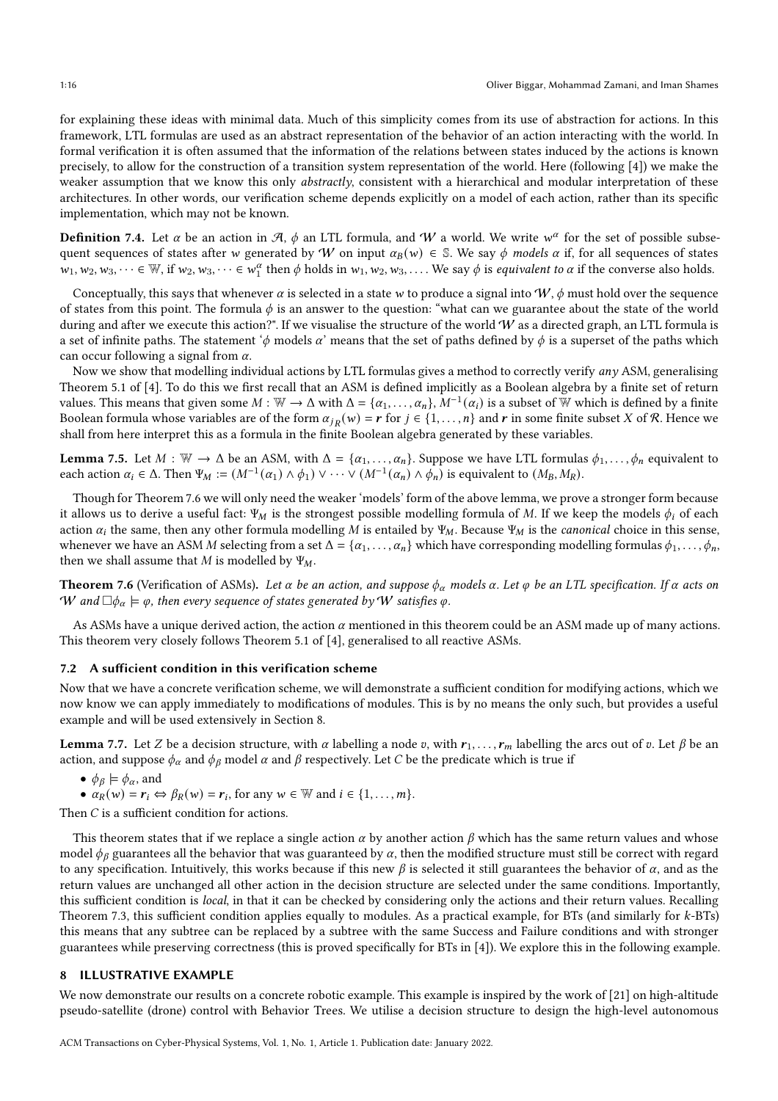for explaining these ideas with minimal data. Much of this simplicity comes from its use of abstraction for actions. In this framework, LTL formulas are used as an abstract representation of the behavior of an action interacting with the world. In formal verification it is often assumed that the information of the relations between states induced by the actions is known precisely, to allow for the construction of a transition system representation of the world. Here (following [\[4\]](#page-24-11)) we make the weaker assumption that we know this only *abstractly*, consistent with a hierarchical and modular interpretation of these architectures. In other words, our verification scheme depends explicitly on a model of each action, rather than its specific implementation, which may not be known.

**Definition** 7.4. Let  $\alpha$  be an action in  $\mathcal{A}$ ,  $\phi$  an LTL formula, and  $W$  a world. We write  $w^{\alpha}$  for the set of possible subsequent sequences of states after w generated by W on input  $\alpha_B(w) \in \mathbb{S}$ . We say  $\phi$  models  $\alpha$  if, for all sequences of states  $w_1, w_2, w_3, \dots \in \mathbb{W}$ , if  $w_2, w_3, \dots \in w_1^{\alpha}$  then  $\phi$  holds in  $w_1, w_2, w_3, \dots$ . We say  $\phi$  is *equivalent to*  $\alpha$  if the converse also holds.

Conceptually, this says that whenever  $\alpha$  is selected in a state w to produce a signal into  $W$ ,  $\phi$  must hold over the sequence of states from this point. The formula  $\phi$  is an answer to the question: "what can we guarantee about the state of the world during and after we execute this action?". If we visualise the structure of the world  $W$  as a directed graph, an LTL formula is a set of infinite paths. The statement ' $\phi$  models  $\alpha$ ' means that the set of paths defined by  $\phi$  is a superset of the paths which can occur following a signal from  $\alpha$ .

Now we show that modelling individual actions by LTL formulas gives a method to correctly verify any ASM, generalising Theorem 5.1 of [\[4](#page-24-11)]. To do this we first recall that an ASM is defined implicitly as a Boolean algebra by a finite set of return values. This means that given some  $M : \mathbb{W} \to \Delta$  with  $\Delta = \{\alpha_1, \ldots, \alpha_n\}$ ,  $M^{-1}(\alpha_i)$  is a subset of  $\mathbb W$  which is defined by a finite Boolean formula whose variables are of the form  $\alpha_{jR}(w) = r$  for  $j \in \{1, \ldots, n\}$  and  $r$  in some finite subset X of R. Hence we shall from here interpret this as a formula in the finite Boolean algebra generated by these variables.

<span id="page-15-3"></span>**Lemma 7.5.** Let  $M : \mathbb{W} \to \Delta$  be an ASM, with  $\Delta = \{\alpha_1, \ldots, \alpha_n\}$ . Suppose we have LTL formulas  $\phi_1, \ldots, \phi_n$  equivalent to each action  $\alpha_i \in \Delta$ . Then  $\Psi_M := (M^{-1}(\alpha_1) \wedge \phi_1) \vee \cdots \vee (M^{-1}(\alpha_n) \wedge \phi_n)$  is equivalent to  $(M_B, M_R)$ .

Though for Theorem [7.6](#page-15-1) we will only need the weaker 'models' form of the above lemma, we prove a stronger form because it allows us to derive a useful fact: Ψ<sub>M</sub> is the strongest possible modelling formula of M. If we keep the models  $\phi_i$  of each action  $\alpha_i$  the same, then any other formula modelling M is entailed by  $\Psi_M$ . Because  $\Psi_M$  is the *canonical* choice in this sense, whenever we have an ASM M selecting from a set  $\Delta = \{\alpha_1, \ldots, \alpha_n\}$  which have corresponding modelling formulas  $\phi_1, \ldots, \phi_n$ , then we shall assume that  $M$  is modelled by  $\Psi_M$ .

<span id="page-15-1"></span>**Theorem 7.6** (Verification of ASMs). Let  $\alpha$  be an action, and suppose  $\phi_\alpha$  models  $\alpha$ . Let  $\varphi$  be an LTL specification. If  $\alpha$  acts on W and  $\Box \phi_\alpha \models \varphi$ , then every sequence of states generated by W satisfies  $\varphi$ .

As ASMs have a unique derived action, the action  $\alpha$  mentioned in this theorem could be an ASM made up of many actions. This theorem very closely follows Theorem 5.1 of [\[4\]](#page-24-11), generalised to all reactive ASMs.

#### 7.2 A sufficient condition in this verification scheme

Now that we have a concrete verification scheme, we will demonstrate a sufficient condition for modifying actions, which we now know we can apply immediately to modifications of modules. This is by no means the only such, but provides a useful example and will be used extensively in Section [8.](#page-15-0)

<span id="page-15-2"></span>**Lemma** 7.7. Let Z be a decision structure, with  $\alpha$  labelling a node  $v$ , with  $r_1, \ldots, r_m$  labelling the arcs out of  $v$ . Let  $\beta$  be an action, and suppose  $\phi_\alpha$  and  $\phi_\beta$  model  $\alpha$  and  $\beta$  respectively. Let C be the predicate which is true if

- $\phi_{\beta} \models \phi_{\alpha}$ , and
- $\alpha_R(w) = r_i \Leftrightarrow \beta_R(w) = r_i$ , for any  $w \in \mathbb{W}$  and  $i \in \{1, ..., m\}$ .

Then  $C$  is a sufficient condition for actions.

This theorem states that if we replace a single action  $\alpha$  by another action  $\beta$  which has the same return values and whose model  $\phi_\beta$  guarantees all the behavior that was guaranteed by  $\alpha$ , then the modified structure must still be correct with regard to any specification. Intuitively, this works because if this new  $\beta$  is selected it still guarantees the behavior of  $\alpha$ , and as the return values are unchanged all other action in the decision structure are selected under the same conditions. Importantly, this sufficient condition is local, in that it can be checked by considering only the actions and their return values. Recalling Theorem [7.3,](#page-14-0) this sufficient condition applies equally to modules. As a practical example, for BTs (and similarly for  $k$ -BTs) this means that any subtree can be replaced by a subtree with the same Success and Failure conditions and with stronger guarantees while preserving correctness (this is proved specifically for BTs in [\[4\]](#page-24-11)). We explore this in the following example.

#### <span id="page-15-0"></span>8 ILLUSTRATIVE EXAMPLE

We now demonstrate our results on a concrete robotic example. This example is inspired by the work of [\[21\]](#page-24-12) on high-altitude pseudo-satellite (drone) control with Behavior Trees. We utilise a decision structure to design the high-level autonomous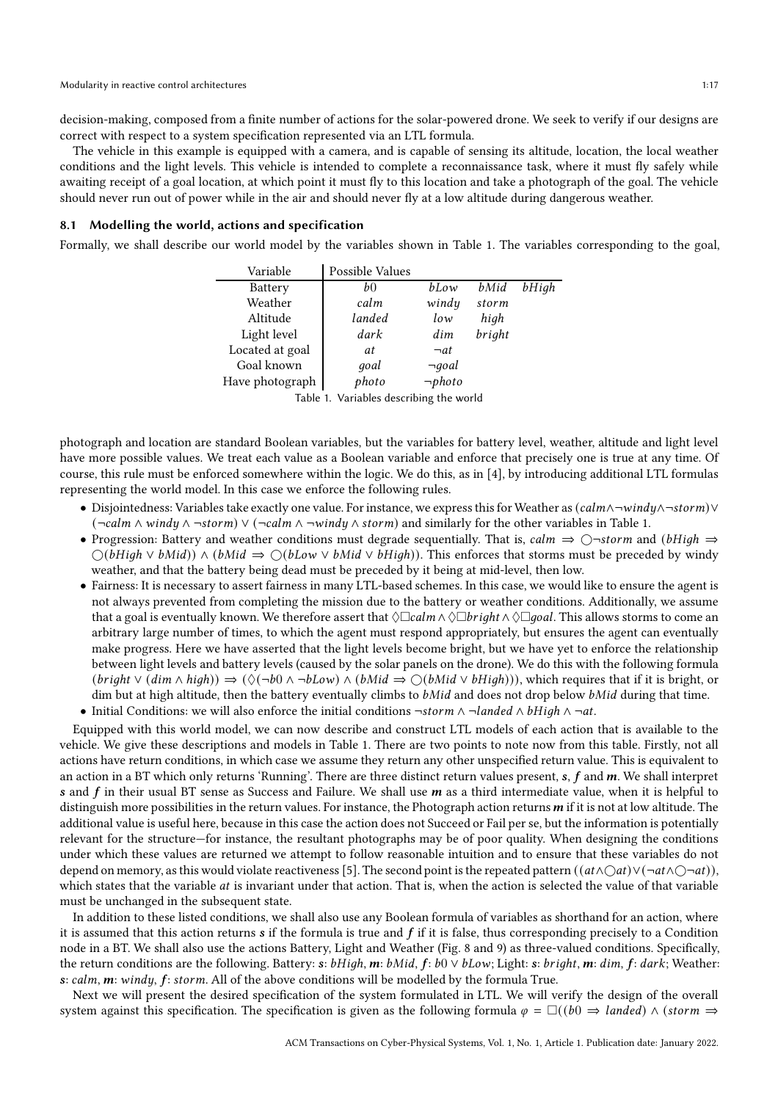decision-making, composed from a finite number of actions for the solar-powered drone. We seek to verify if our designs are correct with respect to a system specification represented via an LTL formula.

The vehicle in this example is equipped with a camera, and is capable of sensing its altitude, location, the local weather conditions and the light levels. This vehicle is intended to complete a reconnaissance task, where it must fly safely while awaiting receipt of a goal location, at which point it must fly to this location and take a photograph of the goal. The vehicle should never run out of power while in the air and should never fly at a low altitude during dangerous weather.

#### 8.1 Modelling the world, actions and specification

<span id="page-16-0"></span>Formally, we shall describe our world model by the variables shown in Table [1.](#page-16-0) The variables corresponding to the goal,

| Variable        | Possible Values |              |        |       |
|-----------------|-----------------|--------------|--------|-------|
| Battery         | b0              | bLow         | bMid   | bHigh |
| Weather         | calm            | windy        | storm  |       |
| Altitude        | landed          | low          | high   |       |
| Light level     | dark            | dim          | bright |       |
| Located at goal | at              | $\neg$ at    |        |       |
| Goal known      | goal            | $\neg goal$  |        |       |
| Have photograph | photo           | $\neg photo$ |        |       |

Table 1. Variables describing the world

photograph and location are standard Boolean variables, but the variables for battery level, weather, altitude and light level have more possible values. We treat each value as a Boolean variable and enforce that precisely one is true at any time. Of course, this rule must be enforced somewhere within the logic. We do this, as in [\[4\]](#page-24-11), by introducing additional LTL formulas representing the world model. In this case we enforce the following rules.

- Disjointedness: Variables take exactly one value. For instance, we express this for Weather as  $(calm \land \neg window \land \neg storm) \lor$  $(\neg \text{calm} \land \text{wind} \lor (\neg \text{calm} \land \neg \text{wind} \land \text{storm})$  and similarly for the other variables in Table [1.](#page-16-0)
- Progression: Battery and weather conditions must degrade sequentially. That is,  $cal \rightarrow \bigcirc$  +storm and (bHigh  $\Rightarrow$  $\bigcirc$ (bHigh  $\vee$  bMid))  $\wedge$  (bMid  $\Rightarrow$   $\bigcirc$ (bLow  $\vee$  bMid  $\vee$  bHigh)). This enforces that storms must be preceded by windy weather, and that the battery being dead must be preceded by it being at mid-level, then low.
- Fairness: It is necessary to assert fairness in many LTL-based schemes. In this case, we would like to ensure the agent is not always prevented from completing the mission due to the battery or weather conditions. Additionally, we assume that a goal is eventually known. We therefore assert that  $\Diamond \Box \mathit{callm} \land \Diamond \Box \mathit{goal} \land \Diamond \Box \mathit{goal}$ . This allows storms to come an arbitrary large number of times, to which the agent must respond appropriately, but ensures the agent can eventually make progress. Here we have asserted that the light levels become bright, but we have yet to enforce the relationship between light levels and battery levels (caused by the solar panels on the drone). We do this with the following formula  $(bright \vee (dim \wedge high)) \Rightarrow (\lozenge(\neg b0 \wedge \neg blow) \wedge (bMid \Rightarrow \bigcirc(bMid \vee bHigh)))$ , which requires that if it is bright, or dim but at high altitude, then the battery eventually climbs to  $bMid$  and does not drop below  $bMid$  during that time.

• Initial Conditions: we will also enforce the initial conditions ¬storm  $\wedge$  ¬landed  $\wedge$  bHigh  $\wedge$  ¬at.

Equipped with this world model, we can now describe and construct LTL models of each action that is available to the vehicle. We give these descriptions and models in Table [1.](#page-16-0) There are two points to note now from this table. Firstly, not all actions have return conditions, in which case we assume they return any other unspecified return value. This is equivalent to an action in a BT which only returns 'Running'. There are three distinct return values present,  $s$ ,  $f$  and  $m$ . We shall interpret s and  $f$  in their usual BT sense as Success and Failure. We shall use  $m$  as a third intermediate value, when it is helpful to distinguish more possibilities in the return values. For instance, the Photograph action returns  $m$  if it is not at low altitude. The additional value is useful here, because in this case the action does not Succeed or Fail per se, but the information is potentially relevant for the structure—for instance, the resultant photographs may be of poor quality. When designing the conditions under which these values are returned we attempt to follow reasonable intuition and to ensure that these variables do not depend on memory, as this would violate reactiveness [\[5\]](#page-24-3). The second point is the repeated pattern  $((at \wedge \bigcirc at \wedge \bigcirc \neg at \wedge \bigcirc \neg at))$ , which states that the variable  $at$  is invariant under that action. That is, when the action is selected the value of that variable must be unchanged in the subsequent state.

In addition to these listed conditions, we shall also use any Boolean formula of variables as shorthand for an action, where it is assumed that this action returns  $s$  if the formula is true and  $f$  if it is false, thus corresponding precisely to a Condition node in a BT. We shall also use the actions Battery, Light and Weather (Fig. [8](#page-18-0) and [9\)](#page-19-1) as three-valued conditions. Specifically, the return conditions are the following. Battery: s:  $bHigh, m: bMid, f: b0 \vee bLow; Light: s: bright, m: dim, f: dark; Weather:$ s: calm, m: windy, f: storm. All of the above conditions will be modelled by the formula True.

Next we will present the desired specification of the system formulated in LTL. We will verify the design of the overall system against this specification. The specification is given as the following formula  $\varphi = \Box((b \cup \neg \exists \text{landed}) \land (\text{storm} \rightarrow \neg \exists \text{landed})$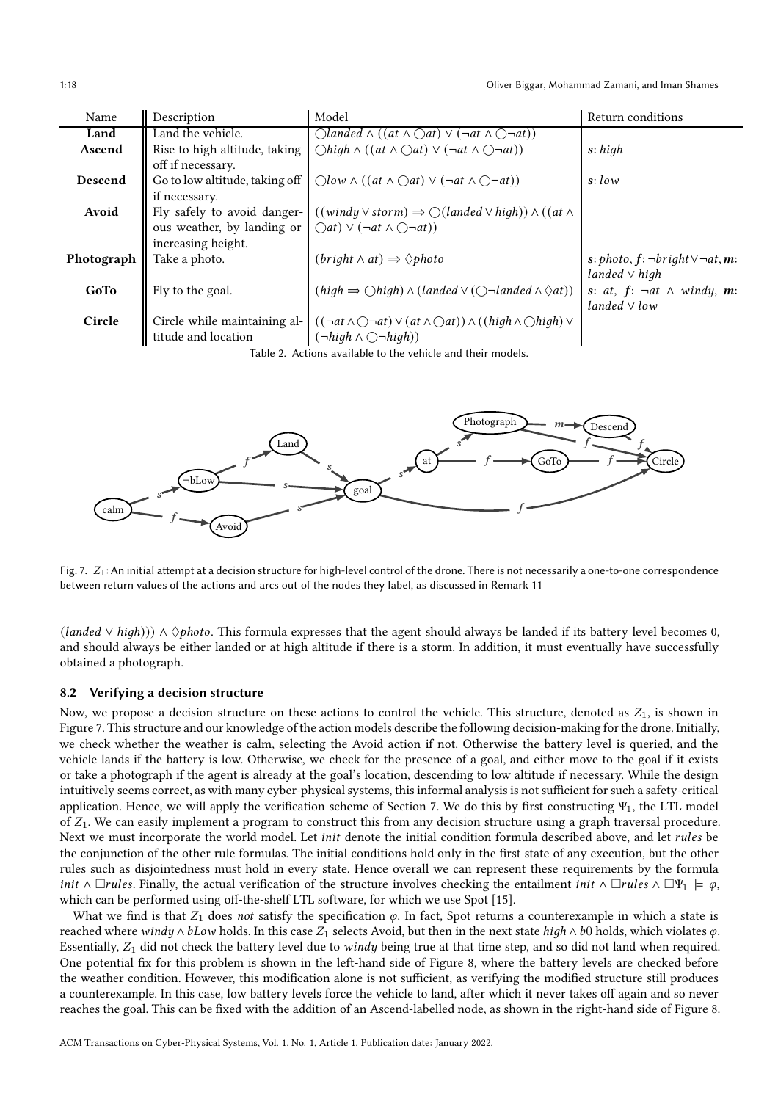| Model<br>Description<br>Return conditions<br>Name                                                                                                                        |  |
|--------------------------------------------------------------------------------------------------------------------------------------------------------------------------|--|
| Land the vehicle.<br>$\bigcirc$ landed $\wedge ((at \wedge \bigcirc at) \vee (\neg at \wedge \bigcirc \neg at))$<br>Land                                                 |  |
| $\bigcirc$ high $\wedge ((at \wedge \bigcirc at) \vee (\neg at \wedge \bigcirc \neg at))$<br>Ascend<br>Rise to high altitude, taking<br>s: high                          |  |
| off if necessary.                                                                                                                                                        |  |
| Go to low altitude, taking off<br>$\bigcirc$ low $\wedge ((at \wedge \bigcirc at) \vee (\neg at \wedge \bigcirc \neg at))$<br>Descend<br>s:low                           |  |
| if necessary.                                                                                                                                                            |  |
| Avoid<br>$((windy \vee storm) \Rightarrow \bigcirc (landed \vee high)) \wedge ((at \wedge$<br>Fly safely to avoid danger-                                                |  |
| ous weather, by landing or<br>$\bigcap$ at) $\vee$ $(\neg$ at $\wedge \bigcap \neg$ at))                                                                                 |  |
| increasing height.                                                                                                                                                       |  |
| $(bright \land at) \Rightarrow \Diamond photo$<br>Photograph<br>Take a photo.<br>s: photo, $f$ : $\neg bright \vee \neg at$ , m:                                         |  |
| landed $\vee$ high                                                                                                                                                       |  |
| $(high \Rightarrow \bigcirc high) \land (landed \lor (\bigcirc \neg \land \neg \land \Diamond at))$<br>GoTo<br>Fly to the goal.<br>s: at, $f: \neg at \wedge windy$ , m: |  |
| landed $\vee$ low                                                                                                                                                        |  |
| Circle<br>$((\neg at \land \bigcirc \neg at) \lor (at \land \bigcirc at)) \land ((high \land \bigcirc high) \lor$<br>Circle while maintaining al-                        |  |
| titude and location<br>$(\neg high \land \bigcirc \neg high)$                                                                                                            |  |

Table 2. Actions available to the vehicle and their models.

<span id="page-17-0"></span>

Fig. 7.  $Z_1$ : An initial attempt at a decision structure for high-level control of the drone. There is not necessarily a one-to-one correspondence between return values of the actions and arcs out of the nodes they label, as discussed in Remark [11](#page-19-2)

 $(landed \vee high))$ ) ∧  $\Diamond photo$ . This formula expresses that the agent should always be landed if its battery level becomes 0, and should always be either landed or at high altitude if there is a storm. In addition, it must eventually have successfully obtained a photograph.

#### 8.2 Verifying a decision structure

Now, we propose a decision structure on these actions to control the vehicle. This structure, denoted as  $Z_1$ , is shown in Figure [7.](#page-17-0) This structure and our knowledge of the action models describe the following decision-making for the drone. Initially, we check whether the weather is calm, selecting the Avoid action if not. Otherwise the battery level is queried, and the vehicle lands if the battery is low. Otherwise, we check for the presence of a goal, and either move to the goal if it exists or take a photograph if the agent is already at the goal's location, descending to low altitude if necessary. While the design intuitively seems correct, as with many cyber-physical systems, this informal analysis is not sufficient for such a safety-critical application. Hence, we will apply the verification scheme of Section [7.](#page-13-1) We do this by first constructing  $\Psi_1$ , the LTL model of  $Z_1$ . We can easily implement a program to construct this from any decision structure using a graph traversal procedure. Next we must incorporate the world model. Let *init* denote the initial condition formula described above, and let *rules* be the conjunction of the other rule formulas. The initial conditions hold only in the first state of any execution, but the other rules such as disjointedness must hold in every state. Hence overall we can represent these requirements by the formula *init*  $\wedge \Box$ *rules*. Finally, the actual verification of the structure involves checking the entailment *init*  $\wedge \Box$ *rules*  $\wedge \Box \Psi_1 \models \varphi$ , which can be performed using off-the-shelf LTL software, for which we use Spot [\[15\]](#page-24-24).

What we find is that  $Z_1$  does not satisfy the specification  $\varphi$ . In fact, Spot returns a counterexample in which a state is reached where windy  $\wedge$  bLow holds. In this case  $Z_1$  selects Avoid, but then in the next state  $high \wedge bb$  holds, which violates  $\varphi$ . Essentially,  $Z_1$  did not check the battery level due to windy being true at that time step, and so did not land when required. One potential fix for this problem is shown in the left-hand side of Figure [8,](#page-18-0) where the battery levels are checked before the weather condition. However, this modification alone is not sufficient, as verifying the modified structure still produces a counterexample. In this case, low battery levels force the vehicle to land, after which it never takes off again and so never reaches the goal. This can be fixed with the addition of an Ascend-labelled node, as shown in the right-hand side of Figure [8.](#page-18-0)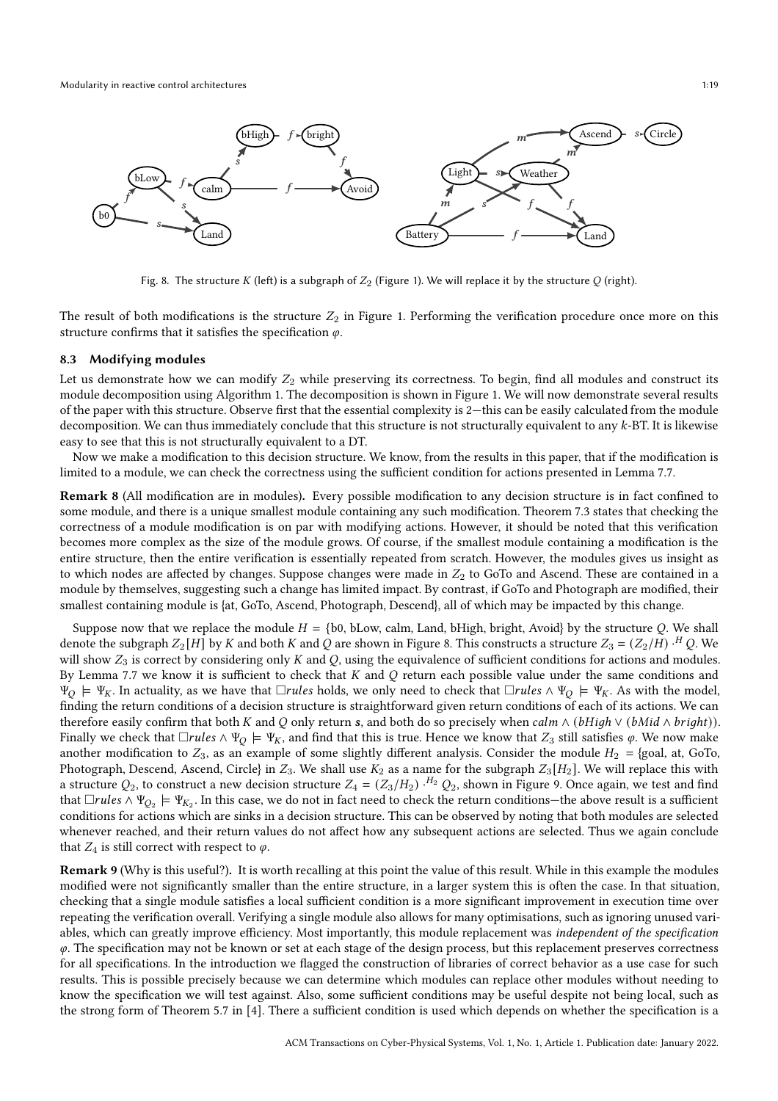<span id="page-18-0"></span>

Fig. 8. The structure K (left) is a subgraph of  $Z_2$  (Figure [1\)](#page-1-0). We will replace it by the structure Q (right).

The result of both modifications is the structure  $Z_2$  in Figure [1.](#page-1-0) Performing the verification procedure once more on this structure confirms that it satisfies the specification  $\varphi.$ 

#### 8.3 Modifying modules

Let us demonstrate how we can modify  $Z_2$  while preserving its correctness. To begin, find all modules and construct its module decomposition using Algorithm [1.](#page-20-0) The decomposition is shown in Figure [1.](#page-1-0) We will now demonstrate several results of the paper with this structure. Observe first that the essential complexity is 2—this can be easily calculated from the module decomposition. We can thus immediately conclude that this structure is not structurally equivalent to any k-BT. It is likewise easy to see that this is not structurally equivalent to a DT.

Now we make a modification to this decision structure. We know, from the results in this paper, that if the modification is limited to a module, we can check the correctness using the sufficient condition for actions presented in Lemma [7.7.](#page-15-2)

Remark 8 (All modification are in modules). Every possible modification to any decision structure is in fact confined to some module, and there is a unique smallest module containing any such modification. Theorem [7.3](#page-14-0) states that checking the correctness of a module modification is on par with modifying actions. However, it should be noted that this verification becomes more complex as the size of the module grows. Of course, if the smallest module containing a modification is the entire structure, then the entire verification is essentially repeated from scratch. However, the modules gives us insight as to which nodes are affected by changes. Suppose changes were made in  $Z_2$  to GoTo and Ascend. These are contained in a module by themselves, suggesting such a change has limited impact. By contrast, if GoTo and Photograph are modified, their smallest containing module is {at, GoTo, Ascend, Photograph, Descend}, all of which may be impacted by this change.

Suppose now that we replace the module  $H = \{b0, blow, calm, Land, bHigh, bright, Avoid\}$  by the structure Q. We shall denote the subgraph  $Z_2[H]$  by K and both K and Q are shown in Figure [8.](#page-18-0) This constructs a structure  $Z_3 = (Z_2/H) \cdot ^H Q$ . We will show  $Z_3$  is correct by considering only K and Q, using the equivalence of sufficient conditions for actions and modules. By Lemma [7.7](#page-15-2) we know it is sufficient to check that  $K$  and  $Q$  return each possible value under the same conditions and  $\Psi_O \models \Psi_K$ . In actuality, as we have that  $\Box rules$  holds, we only need to check that  $\Box rules \land \Psi_O \models \Psi_K$ . As with the model, finding the return conditions of a decision structure is straightforward given return conditions of each of its actions. We can therefore easily confirm that both K and Q only return s, and both do so precisely when  $cal \land (bHigh \lor (bMid \land bright)).$ Finally we check that  $\Box$ *rules*  $\land \Psi_Q \models \Psi_K$ , and find that this is true. Hence we know that  $Z_3$  still satisfies  $\varphi$ . We now make another modification to  $Z_3$ , as an example of some slightly different analysis. Consider the module  $H_2 = \{$ goal, at, GoTo, Photograph, Descend, Ascend, Circle} in  $Z_3$ . We shall use  $K_2$  as a name for the subgraph  $Z_3[H_2]$ . We will replace this with a structure  $Q_2$ , to construct a new decision structure  $Z_4 = (Z_3/H_2)$ .  $^{H_2}Q_2$ , shown in Figure [9.](#page-19-1) Once again, we test and find that  $\Box$ rules  $\land \Psi_{Q_2} \models \Psi_{K_2}$ . In this case, we do not in fact need to check the return conditions—the above result is a sufficient conditions for actions which are sinks in a decision structure. This can be observed by noting that both modules are selected whenever reached, and their return values do not affect how any subsequent actions are selected. Thus we again conclude that  $Z_4$  is still correct with respect to  $\varphi$ .

Remark 9 (Why is this useful?). It is worth recalling at this point the value of this result. While in this example the modules modified were not significantly smaller than the entire structure, in a larger system this is often the case. In that situation, checking that a single module satisfies a local sufficient condition is a more significant improvement in execution time over repeating the verification overall. Verifying a single module also allows for many optimisations, such as ignoring unused variables, which can greatly improve efficiency. Most importantly, this module replacement was independent of the specification  $\varphi$ . The specification may not be known or set at each stage of the design process, but this replacement preserves correctness for all specifications. In the introduction we flagged the construction of libraries of correct behavior as a use case for such results. This is possible precisely because we can determine which modules can replace other modules without needing to know the specification we will test against. Also, some sufficient conditions may be useful despite not being local, such as the strong form of Theorem 5.7 in [\[4\]](#page-24-11). There a sufficient condition is used which depends on whether the specification is a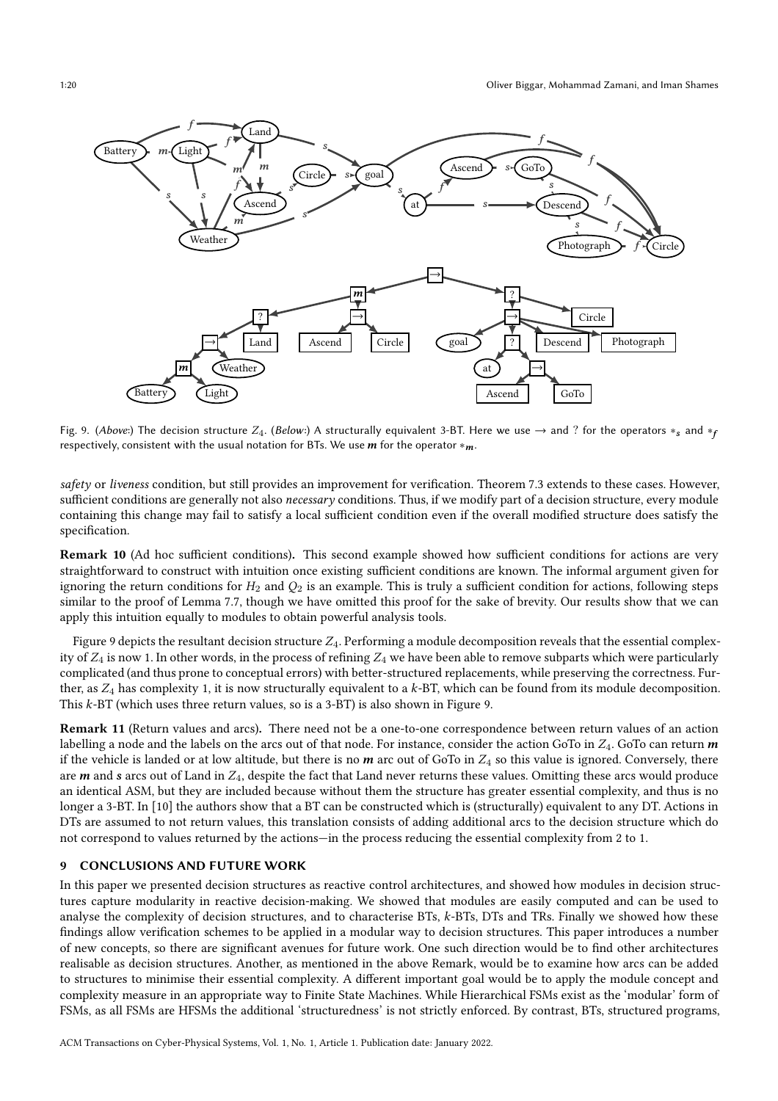<span id="page-19-1"></span>

Fig. 9. (Above:) The decision structure  $Z_4$ . (Below:) A structurally equivalent 3-BT. Here we use  $\rightarrow$  and ? for the operators  $*_s$  and  $*_f$ respectively, consistent with the usual notation for BTs. We use  $m$  for the operator  $*_m$ .

safety or liveness condition, but still provides an improvement for verification. Theorem [7.3](#page-14-0) extends to these cases. However, sufficient conditions are generally not also *necessary* conditions. Thus, if we modify part of a decision structure, every module containing this change may fail to satisfy a local sufficient condition even if the overall modified structure does satisfy the specification.

Remark 10 (Ad hoc sufficient conditions). This second example showed how sufficient conditions for actions are very straightforward to construct with intuition once existing sufficient conditions are known. The informal argument given for ignoring the return conditions for  $H_2$  and  $Q_2$  is an example. This is truly a sufficient condition for actions, following steps similar to the proof of Lemma [7.7,](#page-15-2) though we have omitted this proof for the sake of brevity. Our results show that we can apply this intuition equally to modules to obtain powerful analysis tools.

Figure [9](#page-19-1) depicts the resultant decision structure  $Z_4$ . Performing a module decomposition reveals that the essential complexity of  $Z_4$  is now 1. In other words, in the process of refining  $Z_4$  we have been able to remove subparts which were particularly complicated (and thus prone to conceptual errors) with better-structured replacements, while preserving the correctness. Further, as  $Z_4$  has complexity 1, it is now structurally equivalent to a k-BT, which can be found from its module decomposition. This  $k$ -BT (which uses three return values, so is a 3-BT) is also shown in Figure [9.](#page-19-1)

<span id="page-19-2"></span>Remark 11 (Return values and arcs). There need not be a one-to-one correspondence between return values of an action labelling a node and the labels on the arcs out of that node. For instance, consider the action GoTo in  $Z_4$ . GoTo can return m if the vehicle is landed or at low altitude, but there is no  $m$  arc out of GoTo in  $Z_4$  so this value is ignored. Conversely, there are  $m$  and  $s$  arcs out of Land in  $Z_4$ , despite the fact that Land never returns these values. Omitting these arcs would produce an identical ASM, but they are included because without them the structure has greater essential complexity, and thus is no longer a 3-BT. In [\[10\]](#page-24-13) the authors show that a BT can be constructed which is (structurally) equivalent to any DT. Actions in DTs are assumed to not return values, this translation consists of adding additional arcs to the decision structure which do not correspond to values returned by the actions—in the process reducing the essential complexity from 2 to 1.

## <span id="page-19-0"></span>9 CONCLUSIONS AND FUTURE WORK

In this paper we presented decision structures as reactive control architectures, and showed how modules in decision structures capture modularity in reactive decision-making. We showed that modules are easily computed and can be used to analyse the complexity of decision structures, and to characterise BTs, k-BTs, DTs and TRs. Finally we showed how these findings allow verification schemes to be applied in a modular way to decision structures. This paper introduces a number of new concepts, so there are significant avenues for future work. One such direction would be to find other architectures realisable as decision structures. Another, as mentioned in the above Remark, would be to examine how arcs can be added to structures to minimise their essential complexity. A different important goal would be to apply the module concept and complexity measure in an appropriate way to Finite State Machines. While Hierarchical FSMs exist as the 'modular' form of FSMs, as all FSMs are HFSMs the additional 'structuredness' is not strictly enforced. By contrast, BTs, structured programs,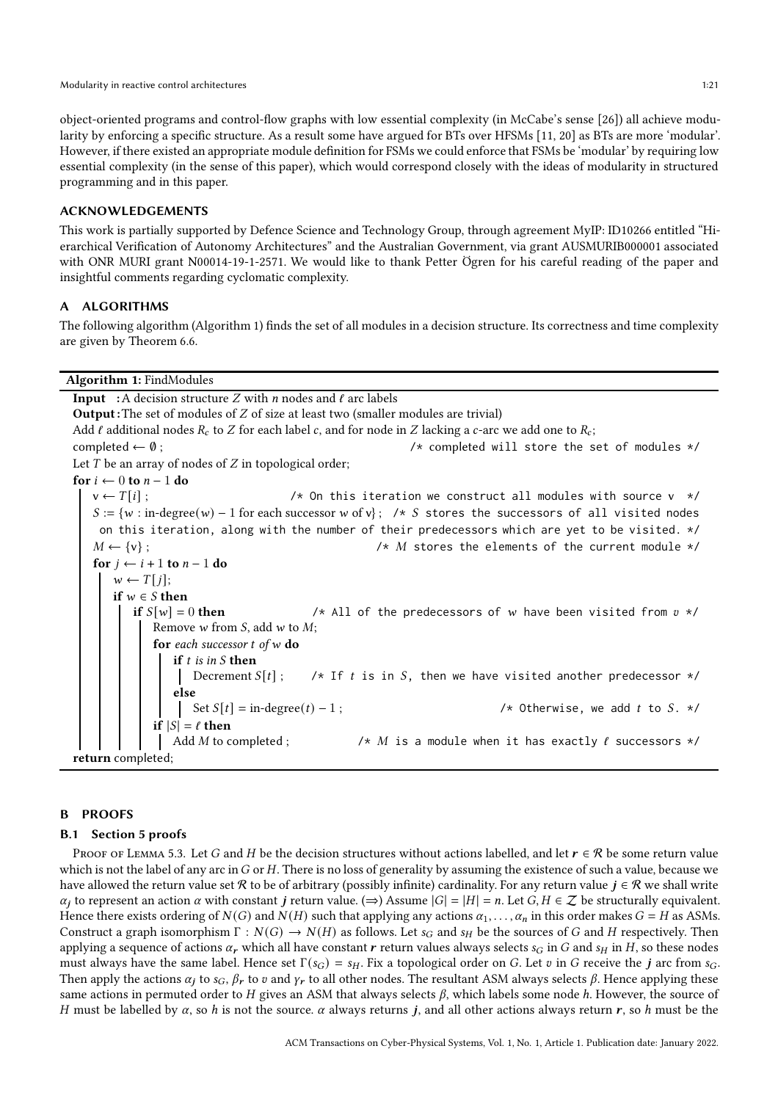object-oriented programs and control-flow graphs with low essential complexity (in McCabe's sense [\[26\]](#page-25-0)) all achieve modularity by enforcing a specific structure. As a result some have argued for BTs over HFSMs [\[11,](#page-24-2) [20\]](#page-24-8) as BTs are more 'modular'. However, if there existed an appropriate module definition for FSMs we could enforce that FSMs be 'modular' by requiring low essential complexity (in the sense of this paper), which would correspond closely with the ideas of modularity in structured programming and in this paper.

## ACKNOWLEDGEMENTS

This work is partially supported by Defence Science and Technology Group, through agreement MyIP: ID10266 entitled "Hierarchical Verification of Autonomy Architectures" and the Australian Government, via grant AUSMURIB000001 associated with ONR MURI grant N00014-19-1-2571. We would like to thank Petter Ögren for his careful reading of the paper and insightful comments regarding cyclomatic complexity.

# A ALGORITHMS

The following algorithm (Algorithm [1\)](#page-20-0) finds the set of all modules in a decision structure. Its correctness and time complexity are given by Theorem [6.6.](#page-9-1)

#### Algorithm 1: FindModules

**Input** : A decision structure  $Z$  with  $n$  nodes and  $\ell$  arc labels **Output**: The set of modules of  $Z$  of size at least two (smaller modules are trivial) Add  $\ell$  additional nodes  $R_c$  to  $Z$  for each label  $c$ , and for node in  $Z$  lacking a  $c$ -arc we add one to  $R_c$ ;  $complete \leftarrow \emptyset$ ;  $\rightarrow$   $\leftarrow$   $\leftarrow$   $\leftarrow$   $\leftarrow$   $\leftarrow$   $\leftarrow$   $\leftarrow$   $\leftarrow$   $\leftarrow$   $\leftarrow$   $\leftarrow$   $\leftarrow$   $\leftarrow$   $\leftarrow$   $\leftarrow$   $\leftarrow$   $\leftarrow$   $\leftarrow$   $\leftarrow$   $\leftarrow$   $\leftarrow$   $\leftarrow$   $\leftarrow$   $\leftarrow$   $\leftarrow$   $\leftarrow$   $\leftarrow$   $\leftarrow$   $\leftarrow$   $\leftarrow$   $\leftarrow$   $\leftarrow$   $\leftarrow$   $\leftarrow$  Let  $T$  be an array of nodes of  $Z$  in topological order; for  $i \leftarrow 0$  to  $n - 1$  do  $v \leftarrow T[i]$ ;  $v \leftarrow T[i]$ ;  $/$  */\** On this iteration we construct all modules with source v \*/  $S := \{w : \text{in-degree}(w) - 1 \text{ for each successor } w \text{ of } v\};$  /\* S stores the successors of all visited nodes on this iteration, along with the number of their predecessors which are yet to be visited. \*/ 𝑀 ← {v} ; /\* 𝑀 stores the elements of the current module \*/ for  $j \leftarrow i + 1$  to  $n - 1$  do  $w \leftarrow T[j];$ if  $w \in S$  then if  $S[w] = 0$  then  $/$ \* All of the predecessors of w have been visited from  $v \star/$ Remove  $w$  from  $S$ , add  $w$  to  $M$ ; for each successor  $t$  of  $w$  do if  $t$  is in  $S$  then Decrement  $S[t]$ ; /\* If t is in S, then we have visited another predecessor \*/ else Set  $S[t] = in-degree(t) - 1$ ;  $\forall$  therwise, we add t to S. \*/ if  $|S| = \ell$  then Add *M* to completed ;  $/$  */*  $\land$  *M* is a module when it has exactly  $\ell$  successors  $*/$ return completed;

## <span id="page-20-0"></span>B PROOFS

## B.1 Section [5](#page-7-0) proofs

PROOF OF LEMMA [5.3.](#page-7-1) Let G and H be the decision structures without actions labelled, and let  $r \in \mathcal{R}$  be some return value which is not the label of any arc in G or H. There is no loss of generality by assuming the existence of such a value, because we have allowed the return value set R to be of arbitrary (possibly infinite) cardinality. For any return value  $j \in \mathcal{R}$  we shall write  $\alpha_j$  to represent an action  $\alpha$  with constant *j* return value. ( $\Rightarrow$ ) Assume  $|G| = |H| = n$ . Let  $G, H \in \mathbb{Z}$  be structurally equivalent. Hence there exists ordering of  $N(G)$  and  $N(H)$  such that applying any actions  $\alpha_1, \ldots, \alpha_n$  in this order makes  $G = H$  as ASMs. Construct a graph isomorphism  $\Gamma : N(G) \to N(H)$  as follows. Let  $s_G$  and  $s_H$  be the sources of G and H respectively. Then applying a sequence of actions  $\alpha_r$  which all have constant r return values always selects  $s_G$  in G and  $s_H$  in H, so these nodes must always have the same label. Hence set  $\Gamma(s_G) = s_H$ . Fix a topological order on G. Let v in G receive the j arc from  $s_G$ . Then apply the actions  $\alpha_j$  to  $s_G$ ,  $\beta_r$  to  $v$  and  $\gamma_r$  to all other nodes. The resultant ASM always selects  $\beta$ . Hence applying these same actions in permuted order to H gives an ASM that always selects  $\beta$ , which labels some node h. However, the source of H must be labelled by  $\alpha$ , so h is not the source.  $\alpha$  always returns j, and all other actions always return r, so h must be the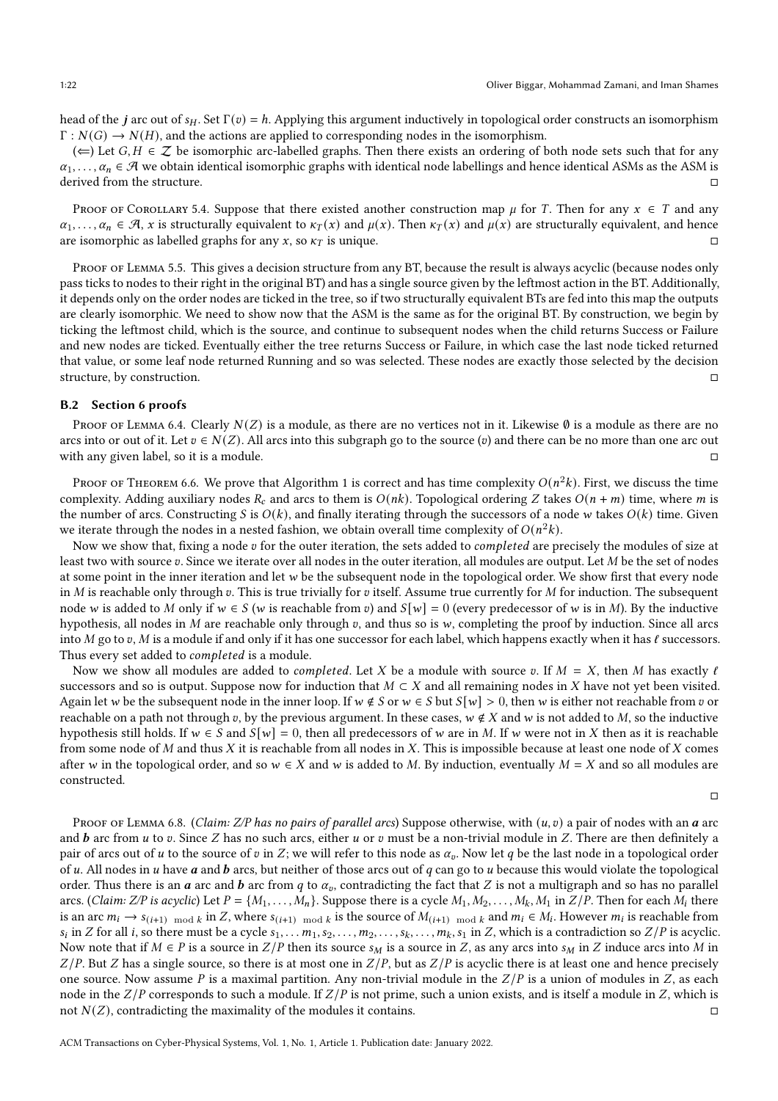head of the *j* arc out of  $s_H$ . Set  $\Gamma(v) = h$ . Applying this argument inductively in topological order constructs an isomorphism  $\Gamma : N(G) \to N(H)$ , and the actions are applied to corresponding nodes in the isomorphism.

 $(\Leftarrow)$  Let  $G, H \in \mathbb{Z}$  be isomorphic arc-labelled graphs. Then there exists an ordering of both node sets such that for any  $\alpha_1, \ldots, \alpha_n \in \mathcal{A}$  we obtain identical isomorphic graphs with identical node labellings and hence identical ASMs as the ASM is derived from the structure.

PROOF OF COROLLARY [5.4.](#page-7-2) Suppose that there existed another construction map  $\mu$  for T. Then for any  $x \in T$  and any  $\alpha_1, \ldots, \alpha_n \in \mathcal{A}$ , x is structurally equivalent to  $\kappa(\chi)$  and  $\mu(\chi)$ . Then  $\kappa(\chi)$  and  $\mu(\chi)$  are structurally equivalent, and hence are isomorphic as labelled graphs for any  $x$ , so  $\kappa_T$  is unique.

Proof of Lemma [5.5.](#page-7-3) This gives a decision structure from any BT, because the result is always acyclic (because nodes only pass ticks to nodes to their right in the original BT) and has a single source given by the leftmost action in the BT. Additionally, it depends only on the order nodes are ticked in the tree, so if two structurally equivalent BTs are fed into this map the outputs are clearly isomorphic. We need to show now that the ASM is the same as for the original BT. By construction, we begin by ticking the leftmost child, which is the source, and continue to subsequent nodes when the child returns Success or Failure and new nodes are ticked. Eventually either the tree returns Success or Failure, in which case the last node ticked returned that value, or some leaf node returned Running and so was selected. These nodes are exactly those selected by the decision structure, by construction.

#### B.2 Section [6](#page-8-0) proofs

Proof of Lemma [6.4.](#page-9-2) Clearly  $N(Z)$  is a module, as there are no vertices not in it. Likewise  $\emptyset$  is a module as there are no arcs into or out of it. Let  $v \in N(Z)$ . All arcs into this subgraph go to the source (v) and there can be no more than one arc out with any given label, so it is a module.

Proof of Theorem [6.6.](#page-9-1) We prove that Algorithm [1](#page-20-0) is correct and has time complexity  $O(n^2k)$ . First, we discuss the time complexity. Adding auxiliary nodes  $R_c$  and arcs to them is  $O(nk)$ . Topological ordering Z takes  $O(n+m)$  time, where m is the number of arcs. Constructing S is  $O(k)$ , and finally iterating through the successors of a node w takes  $O(k)$  time. Given we iterate through the nodes in a nested fashion, we obtain overall time complexity of  $O(n^2k)$ .

Now we show that, fixing a node  $v$  for the outer iteration, the sets added to *completed* are precisely the modules of size at least two with source v. Since we iterate over all nodes in the outer iteration, all modules are output. Let M be the set of nodes at some point in the inner iteration and let  $w$  be the subsequent node in the topological order. We show first that every node in  $M$  is reachable only through  $v$ . This is true trivially for  $v$  itself. Assume true currently for  $M$  for induction. The subsequent node w is added to M only if  $w \in S$  (w is reachable from v) and  $S[w] = 0$  (every predecessor of w is in M). By the inductive hypothesis, all nodes in  $M$  are reachable only through  $v$ , and thus so is  $w$ , completing the proof by induction. Since all arcs into M go to v, M is a module if and only if it has one successor for each label, which happens exactly when it has  $\ell$  successors. Thus every set added to *completed* is a module.

Now we show all modules are added to *completed*. Let X be a module with source v. If  $M = X$ , then M has exactly  $\ell$ successors and so is output. Suppose now for induction that  $M \subset X$  and all remaining nodes in X have not yet been visited. Again let w be the subsequent node in the inner loop. If  $w \notin S$  or  $w \in S$  but  $S[w] > 0$ , then w is either not reachable from v or reachable on a path not through v, by the previous argument. In these cases,  $w \notin X$  and w is not added to M, so the inductive hypothesis still holds. If  $w \in S$  and  $S[w] = 0$ , then all predecessors of w are in M. If w were not in X then as it is reachable from some node of  $M$  and thus  $X$  it is reachable from all nodes in  $X$ . This is impossible because at least one node of  $X$  comes after w in the topological order, and so  $w \in X$  and w is added to M. By induction, eventually  $M = X$  and so all modules are constructed.

 $\Box$ 

PROOF OF LEMMA [6.8.](#page-9-3) (Claim: Z/P has no pairs of parallel arcs) Suppose otherwise, with  $(u, v)$  a pair of nodes with an  $a$  arc and  $\bm{b}$  arc from  $\bm{u}$  to  $\bm{v}$ . Since  $Z$  has no such arcs, either  $\bm{u}$  or  $\bm{v}$  must be a non-trivial module in  $Z$ . There are then definitely a pair of arcs out of u to the source of v in Z; we will refer to this node as  $\alpha_p$ . Now let q be the last node in a topological order of u. All nodes in u have  $\boldsymbol{a}$  and  $\boldsymbol{b}$  arcs, but neither of those arcs out of  $\boldsymbol{q}$  can go to u because this would violate the topological order. Thus there is an  $a$  arc and  $b$  arc from  $q$  to  $\alpha_p$ , contradicting the fact that  $Z$  is not a multigraph and so has no parallel arcs. (Claim: Z/P is acyclic) Let  $P = \{M_1, \ldots, M_n\}$ . Suppose there is a cycle  $M_1, M_2, \ldots, M_k, M_1$  in  $Z/P$ . Then for each  $M_i$  there is an arc  $m_i \to s_{(i+1) \mod k}$  in Z, where  $s_{(i+1) \mod k}$  is the source of  $M_{(i+1) \mod k}$  and  $m_i \in M_i$ . However  $m_i$  is reachable from  $s_i$  in Z for all i, so there must be a cycle  $s_1, \ldots, m_1, s_2, \ldots, m_2, \ldots, s_k, \ldots, m_k, s_1$  in Z, which is a contradiction so Z/P is acyclic. Now note that if  $M \in P$  is a source in  $Z/P$  then its source  $s_M$  is a source in Z, as any arcs into  $s_M$  in Z induce arcs into M in  $Z/P$ . But Z has a single source, so there is at most one in  $Z/P$ , but as  $Z/P$  is acyclic there is at least one and hence precisely one source. Now assume P is a maximal partition. Any non-trivial module in the  $Z/P$  is a union of modules in Z, as each node in the  $Z/P$  corresponds to such a module. If  $Z/P$  is not prime, such a union exists, and is itself a module in Z, which is not  $N(Z)$ , contradicting the maximality of the modules it contains.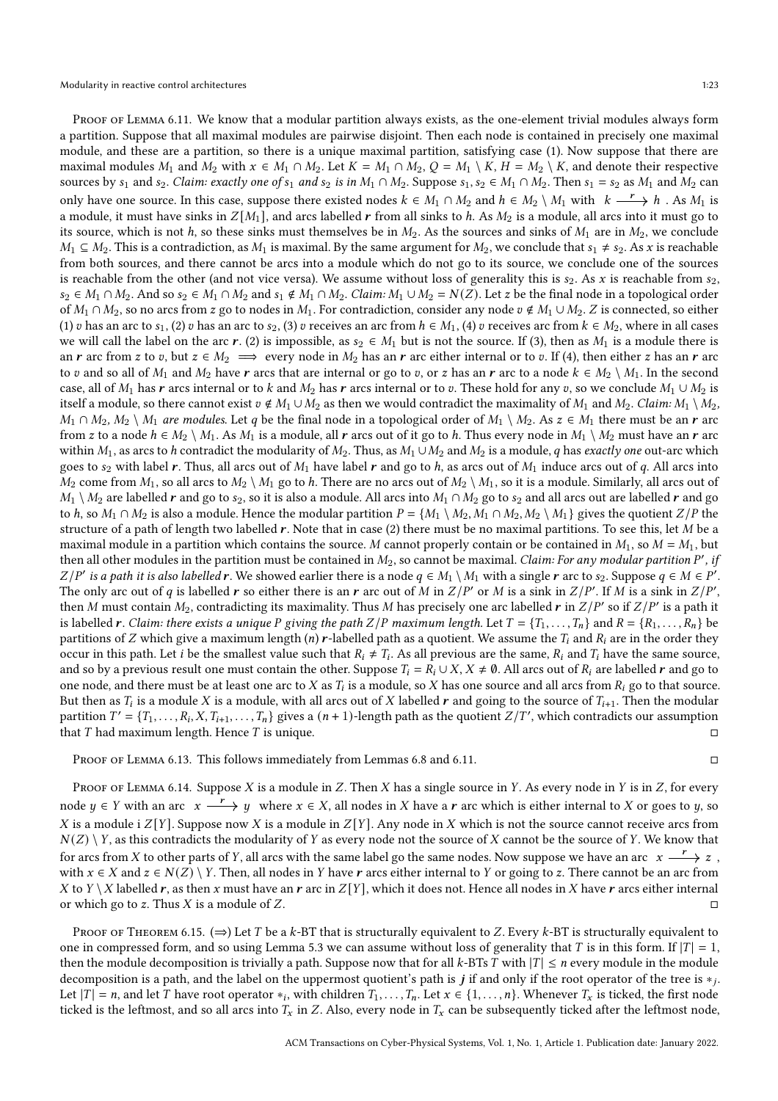PROOF OF LEMMA [6.11.](#page-10-2) We know that a modular partition always exists, as the one-element trivial modules always form a partition. Suppose that all maximal modules are pairwise disjoint. Then each node is contained in precisely one maximal module, and these are a partition, so there is a unique maximal partition, satisfying case (1). Now suppose that there are maximal modules  $M_1$  and  $M_2$  with  $x \in M_1 \cap M_2$ . Let  $K = M_1 \cap M_2$ ,  $Q = M_1 \setminus K$ ,  $H = M_2 \setminus K$ , and denote their respective sources by  $s_1$  and  $s_2$ . Claim: exactly one of  $s_1$  and  $s_2$  is in  $M_1 \cap M_2$ . Suppose  $s_1, s_2 \in M_1 \cap M_2$ . Then  $s_1 = s_2$  as  $M_1$  and  $M_2$  can only have one source. In this case, suppose there existed nodes  $k \in M_1 \cap M_2$  and  $h \in M_2 \setminus M_1$  with  $k \xrightarrow{r} h$  . As  $M_1$  is a module, it must have sinks in  $Z[M_1]$ , and arcs labelled r from all sinks to h. As  $M_2$  is a module, all arcs into it must go to its source, which is not h, so these sinks must themselves be in  $M_2$ . As the sources and sinks of  $M_1$  are in  $M_2$ , we conclude  $M_1 \subseteq M_2$ . This is a contradiction, as  $M_1$  is maximal. By the same argument for  $M_2$ , we conclude that  $s_1 \neq s_2$ . As x is reachable from both sources, and there cannot be arcs into a module which do not go to its source, we conclude one of the sources is reachable from the other (and not vice versa). We assume without loss of generality this is  $s_2$ . As x is reachable from  $s_2$ ,  $s_2 \in M_1 \cap M_2$ . And so  $s_2 \in M_1 \cap M_2$  and  $s_1 \notin M_1 \cap M_2$ . Claim:  $M_1 \cup M_2 = N(Z)$ . Let z be the final node in a topological order of  $M_1 \cap M_2$ , so no arcs from z go to nodes in  $M_1$ . For contradiction, consider any node  $v \notin M_1 \cup M_2$ . Z is connected, so either (1) v has an arc to  $s_1$ , (2) v has an arc to  $s_2$ , (3) v receives an arc from  $h \in M_1$ , (4) v receives arc from  $k \in M_2$ , where in all cases we will call the label on the arc r. (2) is impossible, as  $s_2 \in M_1$  but is not the source. If (3), then as  $M_1$  is a module there is an r arc from z to v, but  $z \in M_2 \implies$  every node in  $M_2$  has an r arc either internal or to v. If (4), then either z has an r arc to v and so all of  $M_1$  and  $M_2$  have r arcs that are internal or go to v, or z has an r arc to a node  $k \in M_2 \setminus M_1$ . In the second case, all of  $M_1$  has r arcs internal or to k and  $M_2$  has r arcs internal or to v. These hold for any v, so we conclude  $M_1 \cup M_2$  is itself a module, so there cannot exist  $v \notin M_1 \cup M_2$  as then we would contradict the maximality of  $M_1$  and  $M_2$ . Claim:  $M_1 \setminus M_2$ ,  $M_1 \cap M_2$ ,  $M_2 \setminus M_1$  are modules. Let q be the final node in a topological order of  $M_1 \setminus M_2$ . As  $z \in M_1$  there must be an r arc from z to a node  $h \in M_2 \setminus M_1$ . As  $M_1$  is a module, all r arcs out of it go to h. Thus every node in  $M_1 \setminus M_2$  must have an r arc within  $M_1$ , as arcs to h contradict the modularity of  $M_2$ . Thus, as  $M_1 \cup M_2$  and  $M_2$  is a module, q has exactly one out-arc which goes to  $s_2$  with label r. Thus, all arcs out of  $M_1$  have label r and go to h, as arcs out of  $M_1$  induce arcs out of q. All arcs into  $M_2$  come from  $M_1$ , so all arcs to  $M_2 \setminus M_1$  go to h. There are no arcs out of  $M_2 \setminus M_1$ , so it is a module. Similarly, all arcs out of  $M_1 \setminus M_2$  are labelled r and go to  $s_2$ , so it is also a module. All arcs into  $M_1 \cap M_2$  go to  $s_2$  and all arcs out are labelled r and go to *h*, so  $M_1 \cap M_2$  is also a module. Hence the modular partition  $P = \{M_1 \setminus M_2, M_1 \cap M_2, M_2 \setminus M_1\}$  gives the quotient  $Z/P$  the structure of a path of length two labelled  $r$ . Note that in case (2) there must be no maximal partitions. To see this, let  $M$  be a maximal module in a partition which contains the source. M cannot properly contain or be contained in  $M_1$ , so  $M = M_1$ , but then all other modules in the partition must be contained in  $M_2$ , so cannot be maximal. *Claim: For any modular partition P'*, *if*  $Z/P'$  is a path it is also labelled r. We showed earlier there is a node  $q \in M_1 \setminus M_1$  with a single r arc to  $s_2$ . Suppose  $q \in M \in P'$ . The only arc out of q is labelled r so either there is an r arc out of M in  $Z/P'$  or M is a sink in  $Z/P'$ . If M is a sink in  $Z/P'$ , then  $M$  must contain  $M_2$ , contradicting its maximality. Thus  $M$  has precisely one arc labelled  $\bm r$  in  $Z/P'$  so if  $Z/P'$  is a path it is labelled **r**. Claim: there exists a unique P giving the path  $Z/P$  maximum length. Let  $T = \{T_1, \ldots, T_n\}$  and  $R = \{R_1, \ldots, R_n\}$  be partitions of Z which give a maximum length (n) r-labelled path as a quotient. We assume the  $T_i$  and  $R_i$  are in the order they occur in this path. Let *i* be the smallest value such that  $R_i \neq T_i$ . As all previous are the same,  $R_i$  and  $T_i$  have the same source, and so by a previous result one must contain the other. Suppose  $T_i = R_i \cup X$ ,  $X \neq \emptyset$ . All arcs out of  $R_i$  are labelled r and go to one node, and there must be at least one arc to  $X$  as  $T_i$  is a module, so  $X$  has one source and all arcs from  $R_i$  go to that source. But then as  $T_i$  is a module  $X$  is a module, with all arcs out of  $X$  labelled  $\bm r$  and going to the source of  $T_{i+1}.$  Then the modular partition  $T' = \{T_1, \ldots, R_i, X, T_{i+1}, \ldots, T_n\}$  gives a  $(n + 1)$ -length path as the quotient  $Z/T'$ , which contradicts our assumption that  $T$  had maximum length. Hence  $T$  is unique.  $\Box$ 

Proof of Lemma [6.13.](#page-10-3) This follows immediately from Lemmas [6.8](#page-9-3) and [6.11.](#page-10-2)

PROOF OF LEMMA [6.14.](#page-11-1) Suppose  $X$  is a module in  $Z$ . Then  $X$  has a single source in  $Y$ . As every node in  $Y$  is in  $Z$ , for every node  $y \in Y$  with an arc  $x \xrightarrow{r} y$  where  $x \in X$ , all nodes in X have a  $r$  arc which is either internal to X or goes to  $y$ , so X is a module i  $Z[Y]$ . Suppose now X is a module in  $Z[Y]$ . Any node in X which is not the source cannot receive arcs from  $N(Z) \setminus Y$ , as this contradicts the modularity of Y as every node not the source of X cannot be the source of Y. We know that for arcs from  $X$  to other parts of  $Y$ , all arcs with the same label go the same nodes. Now suppose we have an arc  $x\stackrel{r}{\longrightarrow}z$  , with  $x \in X$  and  $z \in N(Z) \setminus Y$ . Then, all nodes in Y have r arcs either internal to Y or going to z. There cannot be an arc from X to  $Y \setminus X$  labelled r, as then x must have an r arc in  $Z[Y]$ , which it does not. Hence all nodes in X have r arcs either internal or which go to z. Thus X is a module of Z.

PROOF OF THEOREM [6.15.](#page-11-2) ( $\Rightarrow$ ) Let T be a k-BT that is structurally equivalent to Z. Every k-BT is structurally equivalent to one in compressed form, and so using Lemma [5.3](#page-7-1) we can assume without loss of generality that T is in this form. If  $|T| = 1$ , then the module decomposition is trivially a path. Suppose now that for all  $k$ -BTs T with  $|T| \leq n$  every module in the module decomposition is a path, and the label on the uppermost quotient's path is  $j$  if and only if the root operator of the tree is  $\ast_j$ . Let  $|T| = n$ , and let  $T$  have root operator  $*_i$ , with children  $T_1, \ldots, T_n$ . Let  $x \in \{1, \ldots, n\}$ . Whenever  $T_x$  is ticked, the first node ticked is the leftmost, and so all arcs into  $T_x$  in Z. Also, every node in  $T_x$  can be subsequently ticked after the leftmost node,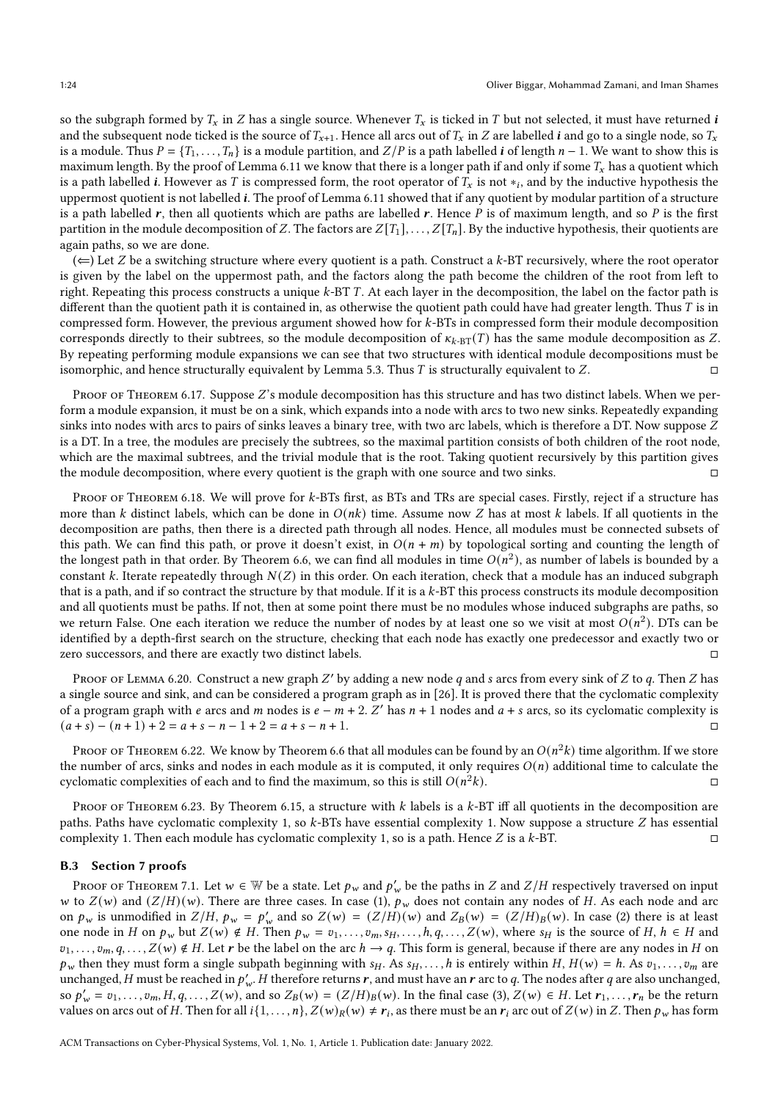so the subgraph formed by  $T_x$  in Z has a single source. Whenever  $T_x$  is ticked in T but not selected, it must have returned i and the subsequent node ticked is the source of  $T_{x+1}$ . Hence all arcs out of  $T_x$  in Z are labelled *i* and go to a single node, so  $T_x$ is a module. Thus  $P = \{T_1, \ldots, T_n\}$  is a module partition, and  $Z/P$  is a path labelled *i* of length  $n-1$ . We want to show this is maximum length. By the proof of Lemma [6.11](#page-10-2) we know that there is a longer path if and only if some  $T_x$  has a quotient which is a path labelled  $i.$  However as  $T$  is compressed form, the root operator of  $T_x$  is not  $\ast_i,$  and by the inductive hypothesis the uppermost quotient is not labelled  $\boldsymbol{i}$ . The proof of Lemma [6.11](#page-10-2) showed that if any quotient by modular partition of a structure is a path labelled  $r$ , then all quotients which are paths are labelled  $r$ . Hence P is of maximum length, and so P is the first partition in the module decomposition of Z. The factors are  $Z[T_1], \ldots, Z[T_n]$ . By the inductive hypothesis, their quotients are again paths, so we are done.

 $(\Leftarrow)$  Let Z be a switching structure where every quotient is a path. Construct a k-BT recursively, where the root operator is given by the label on the uppermost path, and the factors along the path become the children of the root from left to right. Repeating this process constructs a unique  $k$ -BT T. At each layer in the decomposition, the label on the factor path is different than the quotient path it is contained in, as otherwise the quotient path could have had greater length. Thus  $T$  is in compressed form. However, the previous argument showed how for k-BTs in compressed form their module decomposition corresponds directly to their subtrees, so the module decomposition of  $\kappa_{k-\text{BT}}(T)$  has the same module decomposition as Z. By repeating performing module expansions we can see that two structures with identical module decompositions must be isomorphic, and hence structurally equivalent by Lemma [5.3.](#page-7-1) Thus  $T$  is structurally equivalent to  $Z$ .

PROOF OF THEOREM [6.17.](#page-12-3) Suppose Z's module decomposition has this structure and has two distinct labels. When we perform a module expansion, it must be on a sink, which expands into a node with arcs to two new sinks. Repeatedly expanding sinks into nodes with arcs to pairs of sinks leaves a binary tree, with two arc labels, which is therefore a DT. Now suppose Z is a DT. In a tree, the modules are precisely the subtrees, so the maximal partition consists of both children of the root node, which are the maximal subtrees, and the trivial module that is the root. Taking quotient recursively by this partition gives the module decomposition, where every quotient is the graph with one source and two sinks.

PROOF OF THEOREM [6.18.](#page-12-4) We will prove for  $k$ -BTs first, as BTs and TRs are special cases. Firstly, reject if a structure has more than  $k$  distinct labels, which can be done in  $O(nk)$  time. Assume now  $Z$  has at most  $k$  labels. If all quotients in the decomposition are paths, then there is a directed path through all nodes. Hence, all modules must be connected subsets of this path. We can find this path, or prove it doesn't exist, in  $O(n + m)$  by topological sorting and counting the length of the longest path in that order. By Theorem [6.6,](#page-9-1) we can find all modules in time  $O(n^2)$ , as number of labels is bounded by a constant  $k$ . Iterate repeatedly through  $N(Z)$  in this order. On each iteration, check that a module has an induced subgraph that is a path, and if so contract the structure by that module. If it is a  $k$ -BT this process constructs its module decomposition and all quotients must be paths. If not, then at some point there must be no modules whose induced subgraphs are paths, so we return False. One each iteration we reduce the number of nodes by at least one so we visit at most  $O(n^2)$ . DTs can be identified by a depth-first search on the structure, checking that each node has exactly one predecessor and exactly two or zero successors, and there are exactly two distinct labels.

Proof of Lemma [6.20.](#page-13-2) Construct a new graph  $Z'$  by adding a new node  $q$  and  $s$  arcs from every sink of  $Z$  to  $q$ . Then  $Z$  has a single source and sink, and can be considered a program graph as in [\[26\]](#page-25-0). It is proved there that the cyclomatic complexity of a program graph with e arcs and m nodes is  $e - m + 2$ . Z' has  $n + 1$  nodes and  $a + s$  arcs, so its cyclomatic complexity is  $(a + s) - (n + 1) + 2 = a + s - n - 1 + 2 = a + s - n + 1.$ 

Proof of Theorem [6.22.](#page-13-3) We know by Theorem [6.6](#page-9-1) that all modules can be found by an  $O(n^2k)$  time algorithm. If we store the number of arcs, sinks and nodes in each module as it is computed, it only requires  $O(n)$  additional time to calculate the cyclomatic complexities of each and to find the maximum, so this is still  $O(n^2k)$ .  $\mathbb{Z}_k$ ).

PROOF OF THEOREM [6.23.](#page-13-4) By Theorem [6.15,](#page-11-2) a structure with  $k$  labels is a  $k$ -BT iff all quotients in the decomposition are paths. Paths have cyclomatic complexity 1, so  $k$ -BTs have essential complexity 1. Now suppose a structure  $Z$  has essential complexity 1. Then each module has cyclomatic complexity 1, so is a path. Hence  $Z$  is a  $k$ -BT.

#### B.3 Section [7](#page-13-1) proofs

Proof of Theorem [7.1.](#page-14-1) Let  $w \in \mathbb{W}$  be a state. Let  $p_w$  and  $p'_w$  be the paths in  $Z$  and  $Z/H$  respectively traversed on input w to  $Z(w)$  and  $(Z/H)(w)$ . There are three cases. In case (1),  $p_w$  does not contain any nodes of H. As each node and arc on  $p_w$  is unmodified in  $Z/H$ ,  $p_w = p'_w$  and so  $Z(w) = (Z/H)(w)$  and  $Z_B(w) = (Z/H)_B(w)$ . In case (2) there is at least one node in H on  $p_w$  but  $Z(w) \notin H$ . Then  $p_w = v_1, \ldots, v_m, s_H, \ldots, h, q, \ldots, Z(w)$ , where  $s_H$  is the source of H,  $h \in H$  and  $v_1, \ldots, v_m, q, \ldots, Z(w) \notin H$ . Let r be the label on the arc  $h \to q$ . This form is general, because if there are any nodes in H on  $p_w$  then they must form a single subpath beginning with  $s_H$ . As  $s_H$ , ..., h is entirely within H,  $H(w) = h$ . As  $v_1, \ldots, v_m$  are unchanged,  $H$  must be reached in  $p'_{w}$ .  $H$  therefore returns  $r$ , and must have an  $r$  arc to  $q$ . The nodes after  $q$  are also unchanged, so  $p'_w = v_1, \ldots, v_m, H, q, \ldots, Z(w)$ , and so  $Z_B(w) = (Z/H)_B(w)$ . In the final case (3),  $Z(w) \in H$ . Let  $r_1, \ldots, r_n$  be the return values on arcs out of H. Then for all  $i\{1,\ldots,n\}$ ,  $Z(w)_R(w)\neq r_i$ , as there must be an  $r_i$  arc out of  $Z(w)$  in  $Z$ . Then  $p_w$  has form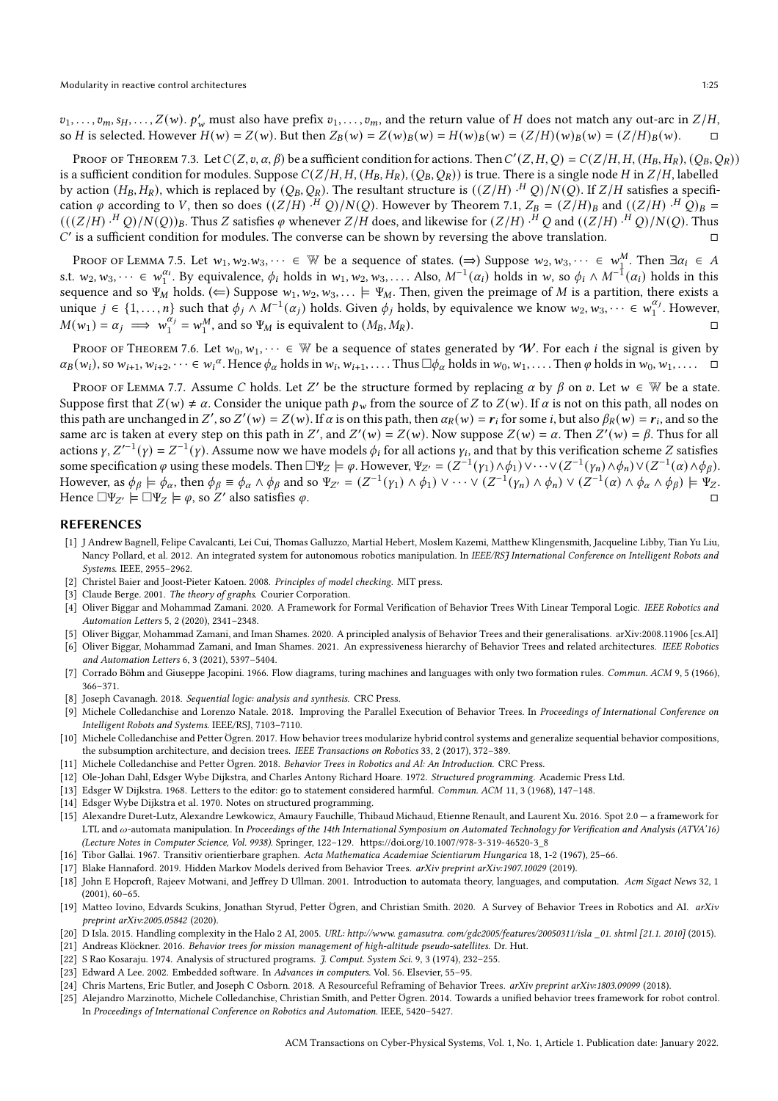$v_1, \ldots, v_m, s_H, \ldots, Z(w)$ .  $p'_w$  must also have prefix  $v_1, \ldots, v_m$ , and the return value of H does not match any out-arc in  $Z/H$ , so H is selected. However  $H(w) = Z(w)$ . But then  $Z_B(w) = Z(w)_B(w) = H(w)_B(w) = (Z/H)(w)_B(w) = (Z/H)_B(w)$ .

Proof of Theorem [7.3.](#page-14-0) Let  $C(Z, v, \alpha, \beta)$  be a sufficient condition for actions. Then  $C'(Z, H, Q) = C(Z/H, H, (H_B, H_R), (Q_B, Q_R))$ is a sufficient condition for modules. Suppose  $C(Z/H, H, (H_B, H_R), (Q_B, Q_R))$  is true. There is a single node H in  $Z/H$ , labelled by action  $(H_B,H_R),$  which is replaced by  $(Q_B,Q_R).$  The resultant structure is  $((Z/H)\cdot ^HQ)/N(Q).$  If  $Z/H$  satisfies a specification  $\varphi$  according to V, then so does  $((Z/H)\cdot ^HQ)/N(Q)$ . However by Theorem [7.1,](#page-14-1)  $Z_B=(Z/H)_B$  and  $((Z/H)\cdot ^HQ)_B=$  $(((Z/H)\cdot ^HQ)/N(Q))_B.$  Thus  $Z$  satisfies  $\varphi$  whenever  $Z/H$  does, and likewise for  $(Z/H)\cdot ^HQ$  and  $((Z/H)\cdot ^HQ)/N(Q).$  Thus  $C'$  is a sufficient condition for modules. The converse can be shown by reversing the above translation.  $\square$ 

Proof of Lemma [7.5.](#page-15-3) Let  $w_1, w_2. w_3, \dots \in \mathbb{W}$  be a sequence of states. ( $\Rightarrow$ ) Suppose  $w_2, w_3, \dots \in w_1^M$ . Then  $\exists \alpha_i \in A$ s.t.  $w_2, w_3, \dots \in w_1^{\alpha_i}$ . By equivalence,  $\phi_i$  holds in  $w_1, w_2, w_3, \dots$ . Also,  $M^{-1}(\alpha_i)$  holds in  $w$ , so  $\phi_i \wedge M^{-1}(\alpha_i)$  holds in this sequence and so  $\Psi_M$  holds. ( $\Leftarrow$ ) Suppose  $w_1, w_2, w_3, \dots \models \Psi_M$ . Then, given the preimage of M is a partition, there exists a unique  $j \in \{1, ..., n\}$  such that  $\phi_j \wedge M^{-1}(\alpha_j)$  holds. Given  $\phi_j$  holds, by equivalence we know  $w_2, w_3, \dots \in w_1^{\alpha_j}$ . However,  $M(w_1) = \alpha_j \implies w_1^{\alpha_j} = w_1^M$ , and so  $\Psi_M$  is equivalent to  $(M_B, M_R)$ .

PROOF OF THEOREM [7.6.](#page-15-1) Let  $w_0, w_1, \dots \in \mathbb{W}$  be a sequence of states generated by W. For each *i* the signal is given by  $\alpha_B(w_i)$ , so  $w_{i+1}, w_{i+2}, \dots \in w_i^{\alpha}$ . Hence  $\phi_{\alpha}$  holds in  $w_i, w_{i+1}, \dots$ . Thus  $\Box \phi_{\alpha}$  holds in  $w_0, w_1, \dots$ . Then  $\phi$  holds in  $w_0, w_1, \dots$ .

Proof of Lemma [7.7.](#page-15-2) Assume C holds. Let Z' be the structure formed by replacing  $\alpha$  by  $\beta$  on  $v$ . Let  $w \in \mathbb{W}$  be a state. Suppose first that  $Z(w) \neq \alpha$ . Consider the unique path  $p_w$  from the source of Z to  $Z(w)$ . If  $\alpha$  is not on this path, all nodes on this path are unchanged in Z', so Z'(w) = Z(w). If  $\alpha$  is on this path, then  $\alpha_R(w) = r_i$  for some *i*, but also  $\beta_R(w) = r_i$ , and so the same arc is taken at every step on this path in Z', and  $Z'(w) = Z(w)$ . Now suppose  $Z(w) = \alpha$ . Then  $Z'(w) = \beta$ . Thus for all actions  $\gamma$ ,  $Z'^{-1}(\gamma) = Z^{-1}(\gamma)$ . Assume now we have models  $\phi_i$  for all actions  $\gamma_i$ , and that by this verification scheme Z satisfies some specification  $\varphi$  using these models. Then  $\Box \Psi_Z \models \varphi$ . However,  $\Psi_{Z'} = (Z^{-1}(\gamma_1) \wedge \phi_1) \vee \cdots \vee (Z^{-1}(\gamma_n) \wedge \phi_n) \vee (Z^{-1}(\alpha) \wedge \phi_\beta)$ . However, as  $\phi_{\beta} \models \phi_{\alpha}$ , then  $\phi_{\beta} \equiv \phi_{\alpha} \wedge \phi_{\beta}$  and so  $\Psi_{Z'} = (Z^{-1}(\gamma_1) \wedge \phi_1) \vee \cdots \vee (Z^{-1}(\gamma_n) \wedge \phi_n) \vee (Z^{-1}(\alpha) \wedge \phi_{\alpha} \wedge \phi_{\beta}) \models \Psi_Z$ . Hence  $\Box \Psi_{Z'} \models \Box \Psi_Z \models \varphi$ , so Z' also satisfies  $\varphi$ .

#### REFERENCES

- <span id="page-24-9"></span>[1] J Andrew Bagnell, Felipe Cavalcanti, Lei Cui, Thomas Galluzzo, Martial Hebert, Moslem Kazemi, Matthew Klingensmith, Jacqueline Libby, Tian Yu Liu, Nancy Pollard, et al. 2012. An integrated system for autonomous robotics manipulation. In IEEE/RSJ International Conference on Intelligent Robots and Systems. IEEE, 2955–2962.
- <span id="page-24-21"></span>[2] Christel Baier and Joost-Pieter Katoen. 2008. Principles of model checking. MIT press.
- <span id="page-24-23"></span>[3] Claude Berge. 2001. The theory of graphs. Courier Corporation.
- <span id="page-24-11"></span>[4] Oliver Biggar and Mohammad Zamani. 2020. A Framework for Formal Verification of Behavior Trees With Linear Temporal Logic. IEEE Robotics and Automation Letters 5, 2 (2020), 2341–2348.
- <span id="page-24-14"></span><span id="page-24-3"></span>[5] Oliver Biggar, Mohammad Zamani, and Iman Shames. 2020. A principled analysis of Behavior Trees and their generalisations. arXiv[:2008.11906](https://arxiv.org/abs/2008.11906) [cs.AI] [6] Oliver Biggar, Mohammad Zamani, and Iman Shames. 2021. An expressiveness hierarchy of Behavior Trees and related architectures. IEEE Robotics and Automation Letters 6, 3 (2021), 5397–5404.
- <span id="page-24-15"></span>[7] Corrado Böhm and Giuseppe Jacopini. 1966. Flow diagrams, turing machines and languages with only two formation rules. Commun. ACM 9, 5 (1966), 366–371.
- <span id="page-24-22"></span>[8] Joseph Cavanagh. 2018. Sequential logic: analysis and synthesis. CRC Press.
- <span id="page-24-20"></span>[9] Michele Colledanchise and Lorenzo Natale. 2018. Improving the Parallel Execution of Behavior Trees. In Proceedings of International Conference on Intelligent Robots and Systems. IEEE/RSJ, 7103–7110.
- <span id="page-24-13"></span>[10] Michele Colledanchise and Petter Ögren. 2017. How behavior trees modularize hybrid control systems and generalize sequential behavior compositions, the subsumption architecture, and decision trees. IEEE Transactions on Robotics 33, 2 (2017), 372–389.
- <span id="page-24-2"></span>[11] Michele Colledanchise and Petter Ögren. 2018. Behavior Trees in Robotics and Al: An Introduction. CRC Press.
- <span id="page-24-5"></span>[12] Ole-Johan Dahl, Edsger Wybe Dijkstra, and Charles Antony Richard Hoare. 1972. Structured programming. Academic Press Ltd.
- <span id="page-24-4"></span>[13] Edsger W Dijkstra. 1968. Letters to the editor: go to statement considered harmful. Commun. ACM 11, 3 (1968), 147–148.
- <span id="page-24-6"></span>[14] Edsger Wybe Dijkstra et al. 1970. Notes on structured programming.
- <span id="page-24-24"></span>[15] Alexandre Duret-Lutz, Alexandre Lewkowicz, Amaury Fauchille, Thibaud Michaud, Etienne Renault, and Laurent Xu. 2016. Spot 2.0 — a framework for LTL and  $\omega$ -automata manipulation. In Proceedings of the 14th International Symposium on Automated Technology for Verification and Analysis (ATVA'16) (Lecture Notes in Computer Science, Vol. 9938). Springer, 122–129. [https://doi.org/10.1007/978-3-319-46520-3\\_8](https://doi.org/10.1007/978-3-319-46520-3_8)
- <span id="page-24-0"></span>[16] Tibor Gallai. 1967. Transitiv orientierbare graphen. Acta Mathematica Academiae Scientiarum Hungarica 18, 1-2 (1967), 25–66.
- <span id="page-24-19"></span>[17] Blake Hannaford. 2019. Hidden Markov Models derived from Behavior Trees. arXiv preprint arXiv:1907.10029 (2019).
- <span id="page-24-1"></span>[18] John E Hopcroft, Rajeev Motwani, and Jeffrey D Ullman. 2001. Introduction to automata theory, languages, and computation. Acm Sigact News 32, 1 (2001), 60–65.
- <span id="page-24-10"></span>[19] Matteo Iovino, Edvards Scukins, Jonathan Styrud, Petter Ögren, and Christian Smith. 2020. A Survey of Behavior Trees in Robotics and AI. arXiv preprint arXiv:2005.05842 (2020).
- <span id="page-24-8"></span>[20] D Isla. 2015. Handling complexity in the Halo 2 AI, 2005. URL: http://www.gamasutra.com/gdc2005/features/20050311/isla 01. shtml [21.1. 2010] (2015).
- <span id="page-24-12"></span>[21] Andreas Klöckner. 2016. Behavior trees for mission management of high-altitude pseudo-satellites. Dr. Hut.
- <span id="page-24-7"></span>[22] S Rao Kosaraju. 1974. Analysis of structured programs. J. Comput. System Sci. 9, 3 (1974), 232–255.
- <span id="page-24-16"></span>[23] Edward A Lee. 2002. Embedded software. In Advances in computers. Vol. 56. Elsevier, 55–95.
- <span id="page-24-18"></span>[24] Chris Martens, Eric Butler, and Joseph C Osborn. 2018. A Resourceful Reframing of Behavior Trees. arXiv preprint arXiv:1803.09099 (2018).
- <span id="page-24-17"></span>[25] Alejandro Marzinotto, Michele Colledanchise, Christian Smith, and Petter Ögren. 2014. Towards a unified behavior trees framework for robot control. In Proceedings of International Conference on Robotics and Automation. IEEE, 5420–5427.